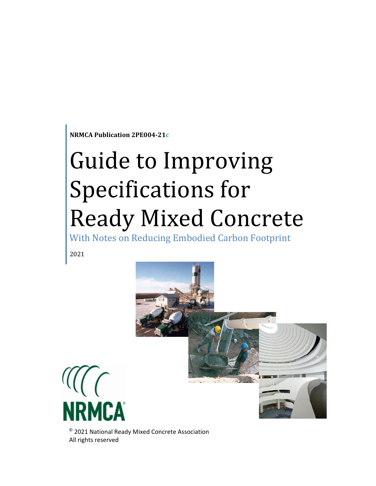**NRMCA Publication 2PE004‐21c** 

# Guide to Improving Specifications for Ready Mixed Concrete

With Notes on Reducing Embodied Carbon Footprint







© 2021 National Ready Mixed Concrete Association All rights reserved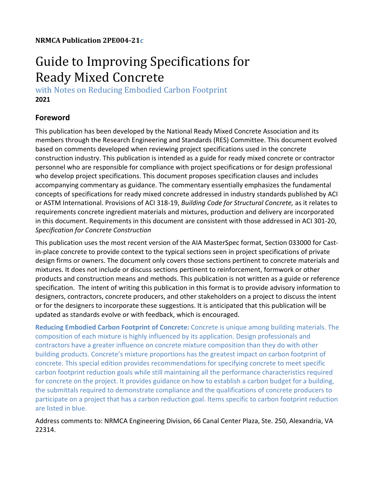# Guide to Improving Specifications for Ready Mixed Concrete

with Notes on Reducing Embodied Carbon Footprint **2021**

# **Foreword**

This publication has been developed by the National Ready Mixed Concrete Association and its members through the Research Engineering and Standards (RES) Committee. This document evolved based on comments developed when reviewing project specifications used in the concrete construction industry. This publication is intended as a guide for ready mixed concrete or contractor personnel who are responsible for compliance with project specifications or for design professional who develop project specifications. This document proposes specification clauses and includes accompanying commentary as guidance. The commentary essentially emphasizes the fundamental concepts of specifications for ready mixed concrete addressed in industry standards published by ACI or ASTM International. Provisions of ACI 318‐19, *Building Code for Structural Concrete,* as it relates to requirements concrete ingredient materials and mixtures, production and delivery are incorporated in this document. Requirements in this document are consistent with those addressed in ACI 301‐20, *Specification for Concrete Construction*

This publication uses the most recent version of the AIA MasterSpec format, Section 033000 for Cast‐ in-place concrete to provide context to the typical sections seen in project specifications of private design firms or owners. The document only covers those sections pertinent to concrete materials and mixtures. It does not include or discuss sections pertinent to reinforcement, formwork or other products and construction means and methods. This publication is not written as a guide or reference specification. The intent of writing this publication in this format is to provide advisory information to designers, contractors, concrete producers, and other stakeholders on a project to discuss the intent or for the designers to incorporate these suggestions. It is anticipated that this publication will be updated as standards evolve or with feedback, which is encouraged.

**Reducing Embodied Carbon Footprint of Concrete:** Concrete is unique among building materials. The composition of each mixture is highly influenced by its application. Design professionals and contractors have a greater influence on concrete mixture composition than they do with other building products. Concrete's mixture proportions has the greatest impact on carbon footprint of concrete. This special edition provides recommendations for specifying concrete to meet specific carbon footprint reduction goals while still maintaining all the performance characteristics required for concrete on the project. It provides guidance on how to establish a carbon budget for a building, the submittals required to demonstrate compliance and the qualifications of concrete producers to participate on a project that has a carbon reduction goal. Items specific to carbon footprint reduction are listed in blue.

Address comments to: NRMCA Engineering Division, 66 Canal Center Plaza, Ste. 250, Alexandria, VA 22314.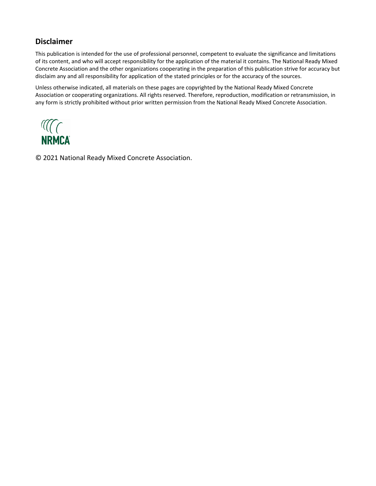# **Disclaimer**

This publication is intended for the use of professional personnel, competent to evaluate the significance and limitations of its content, and who will accept responsibility for the application of the material it contains. The National Ready Mixed Concrete Association and the other organizations cooperating in the preparation of this publication strive for accuracy but disclaim any and all responsibility for application of the stated principles or for the accuracy of the sources.

Unless otherwise indicated, all materials on these pages are copyrighted by the National Ready Mixed Concrete Association or cooperating organizations. All rights reserved. Therefore, reproduction, modification or retransmission, in any form is strictly prohibited without prior written permission from the National Ready Mixed Concrete Association.



© 2021 National Ready Mixed Concrete Association.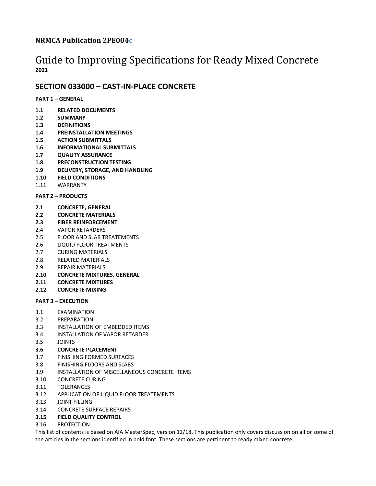# **NRMCA Publication 2PE004c**

# Guide to Improving Specifications for Ready Mixed Concrete **2021**

# **SECTION 033000 – CAST‐IN‐PLACE CONCRETE**

**PART 1 – GENERAL**

- **1.1 RELATED DOCUMENTS**
- **1.2 SUMMARY**
- **1.3 DEFINITIONS**
- **1.4 PREINSTALLATION MEETINGS**
- **1.5 ACTION SUBMITTALS**
- **1.6 INFORMATIONAL SUBMITTALS**
- **1.7 QUALITY ASSURANCE**
- **1.8 PRECONSTRUCTION TESTING**
- **1.9 DELIVERY, STORAGE, AND HANDLING**
- **1.10 FIELD CONDITIONS**
- 1.11 WARRANTY

#### **PART 2 – PRODUCTS**

- **2.1 CONCRETE, GENERAL**
- **2.2 CONCRETE MATERIALS**
- **2.3 FIBER REINFORCEMENT**
- 2.4 VAPOR RETARDERS
- 2.5 FLOOR AND SLAB TREATEMENTS
- 2.6 LIQUID FLOOR TREATMENTS
- 2.7 CURING MATERIALS
- 2.8 RELATED MATERIALS
- 2.9 REPAIR MATERIALS
- **2.10 CONCRETE MIXTURES, GENERAL**
- **2.11 CONCRETE MIXTURES**
- **2.12 CONCRETE MIXING**

#### **PART 3 – EXECUTION**

- 3.1 EXAMINATION
- 3.2 PREPARATION
- 3.3 INSTALLATION OF EMBEDDED ITEMS
- 3.4 INSTALLATION OF VAPOR RETARDER
- 3.5 JOINTS

#### **3.6 CONCRETE PLACEMENT**

- 3.7 FINISHING FORMED SURFACES
- 3.8 FINISHING FLOORS AND SLABS
- 3.9 INSTALLATION OF MISCELLANEOUS CONCRETE ITEMS
- 3.10 CONCRETE CURING
- 3.11 TOLERANCES
- 3.12 APPLICATION OF LIQUID FLOOR TREATEMENTS
- 3.13 JOINT FILLING
- 3.14 CONCRETE SURFACE REPAIRS

#### **3.15 FIELD QUALITY CONTROL**

#### 3.16 PROTECTION

This list of contents is based on AIA MasterSpec, version 12/18. This publication only covers discussion on all or some of the articles in the sections identified in bold font. These sections are pertinent to ready mixed concrete.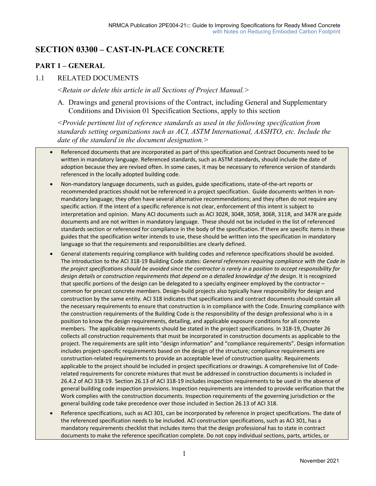# **SECTION 03300 – CAST-IN-PLACE CONCRETE**

#### **PART 1 – GENERAL**

#### 1.1 RELATED DOCUMENTS

*<Retain or delete this article in all Sections of Project Manual.>*

A. Drawings and general provisions of the Contract, including General and Supplementary Conditions and Division 01 Specification Sections, apply to this section

*<Provide pertinent list of reference standards as used in the following specification from standards setting organizations such as ACI, ASTM International, AASHTO, etc. Include the date of the standard in the document designation.>*

- Referenced documents that are incorporated as part of this specification and Contract Documents need to be written in mandatory language. Referenced standards, such as ASTM standards, should include the date of adoption because they are revised often. In some cases, it may be necessary to reference version of standards referenced in the locally adopted building code.
- Non-mandatory language documents, such as guides, guide specifications, state-of-the-art reports or recommended practices should not be referenced in a project specification. Guide documents written in non‐ mandatory language; they often have several alternative recommendations; and they often do not require any specific action. If the intent of a specific reference is not clear, enforcement of this intent is subject to interpretation and opinion. Many ACI documents such as ACI 302R, 304R, 305R, 306R, 311R, and 347R are guide documents and are not written in mandatory language. These should not be included in the list of referenced standards section or referenced for compliance in the body of the specification. If there are specific items in these guides that the specification writer intends to use, these should be written into the specification in mandatory language so that the requirements and responsibilities are clearly defined.
- General statements requiring compliance with building codes and reference specifications should be avoided. The introduction to the ACI 318‐19 Building Code states: *General references requiring compliance with the Code in* the project specifications should be avoided since the contractor is rarely in a position to accept responsibility for *design details or construction requirements that depend on a detailed knowledge of the design*. It is recognized that specific portions of the design can be delegated to a specialty engineer employed by the contractor – common for precast concrete members. Design-build projects also typically have responsibility for design and construction by the same entity. ACI 318 indicates that specifications and contract documents should contain all the necessary requirements to ensure that construction is in compliance with the Code. Ensuring compliance with the construction requirements of the Building Code is the responsibility of the design professional who is in a position to know the design requirements, detailing, and applicable exposure conditions for all concrete members. The applicable requirements should be stated in the project specifications. In 318‐19, Chapter 26 collects all construction requirements that must be incorporated in construction documents as applicable to the project. The requirements are split into "design information" and "compliance requirements". Design information includes project‐specific requirements based on the design of the structure; compliance requirements are construction‐related requirements to provide an acceptable level of construction quality. Requirements applicable to the project should be included in project specifications or drawings. A comprehensive list of Code‐ related requirements for concrete mixtures that must be addressed in construction documents is included in 26.4.2 of ACI 318‐19. Section 26.13 of ACI 318‐19 includes inspection requirements to be used in the absence of general building code inspection provisions. Inspection requirements are intended to provide verification that the Work complies with the construction documents. Inspection requirements of the governing jurisdiction or the general building code take precedence over those included in Section 26.13 of ACI 318.
- Reference specifications, such as ACI 301, can be incorporated by reference in project specifications. The date of the referenced specification needs to be included. ACI construction specifications, such as ACI 301, has a mandatory requirements checklist that includes items that the design professional has to state in contract documents to make the reference specification complete. Do not copy individual sections, parts, articles, or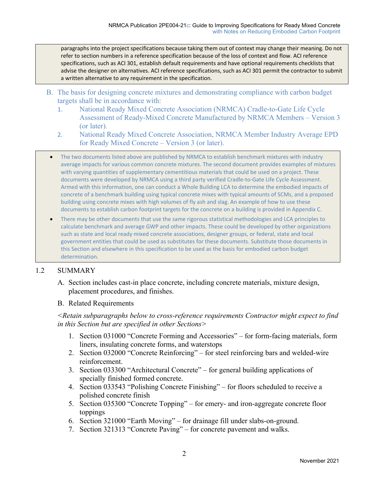paragraphs into the project specifications because taking them out of context may change their meaning. Do not refer to section numbers in a reference specification because of the loss of context and flow. ACI reference specifications, such as ACI 301, establish default requirements and have optional requirements checklists that advise the designer on alternatives. ACI reference specifications, such as ACI 301 permit the contractor to submit a written alternative to any requirement in the specification.

- B. The basis for designing concrete mixtures and demonstrating compliance with carbon budget targets shall be in accordance with:
	- 1. National Ready Mixed Concrete Association (NRMCA) Cradle-to-Gate Life Cycle Assessment of Ready-Mixed Concrete Manufactured by NRMCA Members – Version 3 (or later).
	- 2. National Ready Mixed Concrete Association, NRMCA Member Industry Average EPD for Ready Mixed Concrete – Version 3 (or later).
- The two documents listed above are published by NRMCA to establish benchmark mixtures with industry average impacts for various common concrete mixtures. The second document provides examples of mixtures with varying quantities of supplementary cementitious materials that could be used on a project. These documents were developed by NRMCA using a third party verified Cradle‐to‐Gate Life Cycle Assessment. Armed with this information, one can conduct a Whole Building LCA to determine the embodied impacts of concrete of a benchmark building using typical concrete mixes with typical amounts of SCMs, and a proposed building using concrete mixes with high volumes of fly ash and slag. An example of how to use these documents to establish carbon footprint targets for the concrete on a building is provided in Appendix C.
- There may be other documents that use the same rigorous statistical methodologies and LCA principles to calculate benchmark and average GWP and other impacts. These could be developed by other organizations such as state and local ready mixed concrete associations, designer groups, or federal, state and local government entities that could be used as substitutes for these documents. Substitute those documents in this Section and elsewhere in this specification to be used as the basis for embodied carbon budget determination.

#### 1.2 SUMMARY

A. Section includes cast-in place concrete, including concrete materials, mixture design, placement procedures, and finishes.

#### B. Related Requirements

*<Retain subparagraphs below to cross-reference requirements Contractor might expect to find in this Section but are specified in other Sections>* 

- 1. Section 031000 "Concrete Forming and Accessories" for form-facing materials, form liners, insulating concrete forms, and waterstops
- 2. Section 032000 "Concrete Reinforcing" for steel reinforcing bars and welded-wire reinforcement.
- 3. Section 033300 "Architectural Concrete" for general building applications of specially finished formed concrete.
- 4. Section 033543 "Polishing Concrete Finishing" for floors scheduled to receive a polished concrete finish
- 5. Section 035300 "Concrete Topping" for emery- and iron-aggregate concrete floor toppings
- 6. Section 321000 "Earth Moving" for drainage fill under slabs-on-ground.
- 7. Section 321313 "Concrete Paving" for concrete pavement and walks.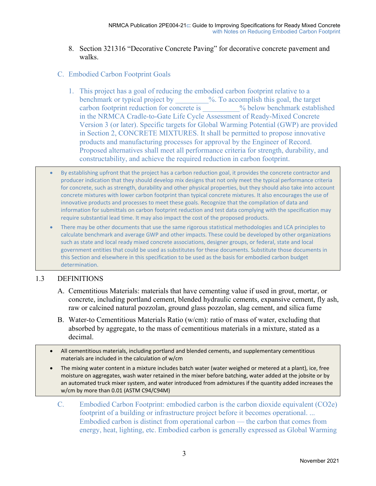- 8. Section 321316 "Decorative Concrete Paving" for decorative concrete pavement and walks.
- C. Embodied Carbon Footprint Goals
	- 1. This project has a goal of reducing the embodied carbon footprint relative to a benchmark or typical project by \_\_\_\_\_\_\_\_\_%. To accomplish this goal, the target carbon footprint reduction for concrete is  $\%$  below benchmark established in the NRMCA Cradle-to-Gate Life Cycle Assessment of Ready-Mixed Concrete Version 3 (or later). Specific targets for Global Warming Potential (GWP) are provided in Section 2, CONCRETE MIXTURES. It shall be permitted to propose innovative products and manufacturing processes for approval by the Engineer of Record. Proposed alternatives shall meet all performance criteria for strength, durability, and constructability, and achieve the required reduction in carbon footprint.
- By establishing upfront that the project has a carbon reduction goal, it provides the concrete contractor and producer indication that they should develop mix designs that not only meet the typical performance criteria for concrete, such as strength, durability and other physical properties, but they should also take into account concrete mixtures with lower carbon footprint than typical concrete mixtures. It also encourages the use of innovative products and processes to meet these goals. Recognize that the compilation of data and information for submittals on carbon footprint reduction and test data complying with the specification may require substantial lead time. It may also impact the cost of the proposed products.
- There may be other documents that use the same rigorous statistical methodologies and LCA principles to calculate benchmark and average GWP and other impacts. These could be developed by other organizations such as state and local ready mixed concrete associations, designer groups, or federal, state and local government entities that could be used as substitutes for these documents. Substitute those documents in this Section and elsewhere in this specification to be used as the basis for embodied carbon budget determination.

# 1.3 DEFINITIONS

- A. Cementitious Materials: materials that have cementing value if used in grout, mortar, or concrete, including portland cement, blended hydraulic cements, expansive cement, fly ash, raw or calcined natural pozzolan, ground glass pozzolan, slag cement, and silica fume
- B. Water-to Cementitious Materials Ratio (w/cm): ratio of mass of water, excluding that absorbed by aggregate, to the mass of cementitious materials in a mixture, stated as a decimal.
- All cementitious materials, including portland and blended cements, and supplementary cementitious materials are included in the calculation of w/cm
- The mixing water content in a mixture includes batch water (water weighed or metered at a plant), ice, free moisture on aggregates, wash water retained in the mixer before batching, water added at the jobsite or by an automated truck mixer system, and water introduced from admixtures if the quantity added increases the w/cm by more than 0.01 (ASTM C94/C94M)
	- C. Embodied Carbon Footprint: embodied carbon is the carbon dioxide equivalent (CO2e) footprint of a building or infrastructure project before it becomes operational. ... Embodied carbon is distinct from operational carbon — the carbon that comes from energy, heat, lighting, etc. Embodied carbon is generally expressed as Global Warming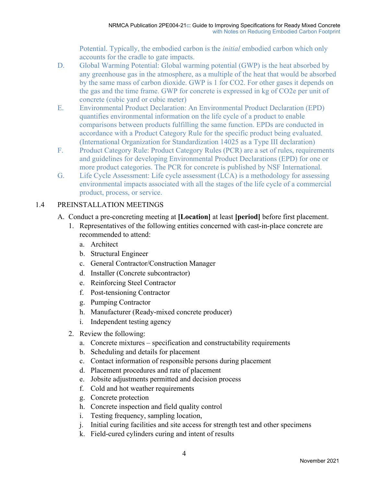Potential. Typically, the embodied carbon is the *initial* embodied carbon which only accounts for the cradle to gate impacts.

- D. Global Warming Potential: Global warming potential (GWP) is the heat absorbed by any greenhouse gas in the atmosphere, as a multiple of the heat that would be absorbed by the same mass of carbon dioxide. GWP is 1 for CO2. For other gases it depends on the gas and the time frame. GWP for concrete is expressed in kg of CO2e per unit of concrete (cubic yard or cubic meter)
- E. Environmental Product Declaration: An Environmental Product Declaration (EPD) quantifies environmental information on the life cycle of a product to enable comparisons between products fulfilling the same function. EPDs are conducted in accordance with a Product Category Rule for the specific product being evaluated. (International Organization for Standardization 14025 as a Type III declaration)
- F. Product Category Rule: Product Category Rules (PCR) are a set of rules, requirements and guidelines for developing Environmental Product Declarations (EPD) for one or more product categories. The PCR for concrete is published by NSF International.
- G. Life Cycle Assessment: Life cycle assessment (LCA) is a methodology for assessing environmental impacts associated with all the stages of the life cycle of a commercial product, process, or service.

# 1.4 PREINSTALLATION MEETINGS

- A. Conduct a pre-concreting meeting at **[Location]** at least **[period]** before first placement.
	- 1. Representatives of the following entities concerned with cast-in-place concrete are recommended to attend:
		- a. Architect
		- b. Structural Engineer
		- c. General Contractor/Construction Manager
		- d. Installer (Concrete subcontractor)
		- e. Reinforcing Steel Contractor
		- f. Post-tensioning Contractor
		- g. Pumping Contractor
		- h. Manufacturer (Ready-mixed concrete producer)
		- i. Independent testing agency
	- 2. Review the following:
		- a. Concrete mixtures specification and constructability requirements
		- b. Scheduling and details for placement
		- c. Contact information of responsible persons during placement
		- d. Placement procedures and rate of placement
		- e. Jobsite adjustments permitted and decision process
		- f. Cold and hot weather requirements
		- g. Concrete protection
		- h. Concrete inspection and field quality control
		- i. Testing frequency, sampling location,
		- j. Initial curing facilities and site access for strength test and other specimens
		- k. Field-cured cylinders curing and intent of results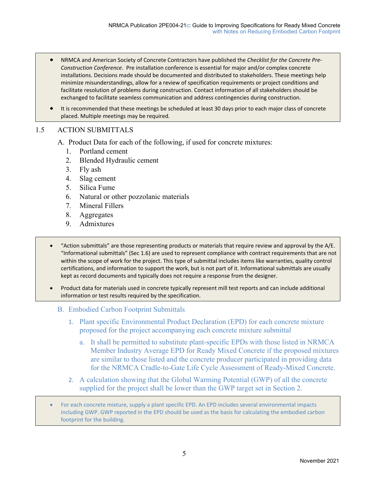NRMCA and American Society of Concrete Contractors have published the *Checklist for the Concrete Pre‐ Construction Conference*. Pre installation conference is essential for major and/or complex concrete installations. Decisions made should be documented and distributed to stakeholders. These meetings help minimize misunderstandings, allow for a review of specification requirements or project conditions and facilitate resolution of problems during construction. Contact information of all stakeholders should be exchanged to facilitate seamless communication and address contingencies during construction.

 It is recommended that these meetings be scheduled at least 30 days prior to each major class of concrete placed. Multiple meetings may be required.

#### 1.5 ACTION SUBMITTALS

A. Product Data for each of the following, if used for concrete mixtures:

- 1. Portland cement
- 2. Blended Hydraulic cement
- 3. Fly ash
- 4. Slag cement
- 5. Silica Fume
- 6. Natural or other pozzolanic materials
- 7. Mineral Fillers
- 8. Aggregates
- 9. Admixtures
- "Action submittals" are those representing products or materials that require review and approval by the A/E. "Informational submittals" (Sec 1.6) are used to represent compliance with contract requirements that are not within the scope of work for the project. This type of submittal includes items like warranties, quality control certifications, and information to support the work, but is not part of it. Informational submittals are usually kept as record documents and typically does not require a response from the designer.
- Product data for materials used in concrete typically represent mill test reports and can include additional information or test results required by the specification.

#### B. Embodied Carbon Footprint Submittals

- 1. Plant specific Environmental Product Declaration (EPD) for each concrete mixture proposed for the project accompanying each concrete mixture submittal
	- a. It shall be permitted to substitute plant-specific EPDs with those listed in NRMCA Member Industry Average EPD for Ready Mixed Concrete if the proposed mixtures are similar to those listed and the concrete producer participated in providing data for the NRMCA Cradle-to-Gate Life Cycle Assessment of Ready-Mixed Concrete.
- 2. A calculation showing that the Global Warming Potential (GWP) of all the concrete supplied for the project shall be lower than the GWP target set in Section 2.

 For each concrete mixture, supply a plant specific EPD. An EPD includes several environmental impacts including GWP. GWP reported in the EPD should be used as the basis for calculating the embodied carbon footprint for the building.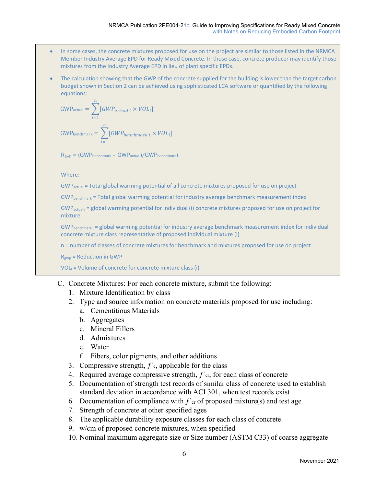- In some cases, the concrete mixtures proposed for use on the project are similar to those listed in the NRMCA Member Industry Average EPD for Ready Mixed Concrete. In those case, concrete producer may identify those mixtures from the Industry Average EPD in lieu of plant specific EPDs.
- The calculation showing that the GWP of the concrete supplied for the building is lower than the target carbon budget shown in Section 2 can be achieved using sophisticated LCA software or quantified by the following equations:

$$
GWP_{actual} = \sum_{i=1}^{n} [GWP_{actual\ i} \times VOL_i]
$$

$$
GWP_{\text{benchmark}} = \sum_{i=1}^{N} [GWP_{\text{benchmark } i} \times VOL_i]
$$

Rgwp = (GWPbenchmark – GWPactual)/GWPbenchmark)

Where:

GWPactual = Total global warming potential of all concrete mixtures proposed for use on project

GWPbenchmark = Total global warming potential for industry average benchmark measurement index

GWP<sub>actual i</sub> = global warming potential for individual (i) concrete mixtures proposed for use on project for mixture

GWPbenchmark <sup>i</sup> = global warming potential for industry average benchmark measurement index for individual concrete mixture class representative of proposed individual mixture (i)

n = number of classes of concrete mixtures for benchmark and mixtures proposed for use on project

Rgwp = Reduction in GWP

 $VOL<sub>i</sub> = Volume of concrete for concrete mixture class (i)$ 

- C. Concrete Mixtures: For each concrete mixture, submit the following:
	- 1. Mixture Identification by class
	- 2. Type and source information on concrete materials proposed for use including:
		- a. Cementitious Materials
		- b. Aggregates
		- c. Mineral Fillers
		- d. Admixtures
		- e. Water
		- f. Fibers, color pigments, and other additions
	- 3. Compressive strength,  $f<sub>c</sub>$ , applicable for the class
	- 4. Required average compressive strength,  $f'_{cr}$ , for each class of concrete
	- 5. Documentation of strength test records of similar class of concrete used to establish standard deviation in accordance with ACI 301, when test records exist
	- 6. Documentation of compliance with  $f'_{cr}$  of proposed mixture(s) and test age
	- 7. Strength of concrete at other specified ages
	- 8. The applicable durability exposure classes for each class of concrete.
	- 9. w/cm of proposed concrete mixtures, when specified
	- 10. Nominal maximum aggregate size or Size number (ASTM C33) of coarse aggregate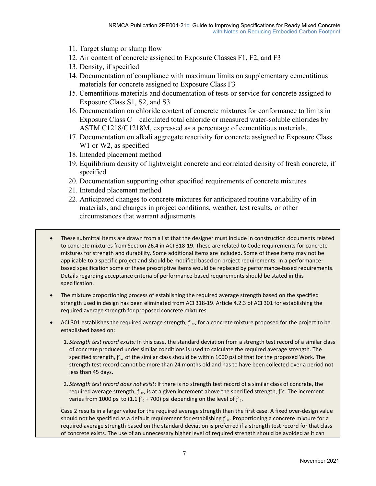- 11. Target slump or slump flow
- 12. Air content of concrete assigned to Exposure Classes F1, F2, and F3
- 13. Density, if specified
- 14. Documentation of compliance with maximum limits on supplementary cementitious materials for concrete assigned to Exposure Class F3
- 15. Cementitious materials and documentation of tests or service for concrete assigned to Exposure Class S1, S2, and S3
- 16. Documentation on chloride content of concrete mixtures for conformance to limits in Exposure Class C – calculated total chloride or measured water-soluble chlorides by ASTM C1218/C1218M, expressed as a percentage of cementitious materials.
- 17. Documentation on alkali aggregate reactivity for concrete assigned to Exposure Class W1 or W2, as specified
- 18. Intended placement method
- 19. Equilibrium density of lightweight concrete and correlated density of fresh concrete, if specified
- 20. Documentation supporting other specified requirements of concrete mixtures
- 21. Intended placement method
- 22. Anticipated changes to concrete mixtures for anticipated routine variability of in materials, and changes in project conditions, weather, test results, or other circumstances that warrant adjustments
- These submittal items are drawn from a list that the designer must include in construction documents related to concrete mixtures from Section 26.4 in ACI 318‐19. These are related to Code requirements for concrete mixtures for strength and durability. Some additional items are included. Some of these items may not be applicable to a specific project and should be modified based on project requirements. In a performancebased specification some of these prescriptive items would be replaced by performance‐based requirements. Details regarding acceptance criteria of performance‐based requirements should be stated in this specification.
- The mixture proportioning process of establishing the required average strength based on the specified strength used in design has been eliminated from ACI 318‐19. Article 4.2.3 of ACI 301 for establishing the required average strength for proposed concrete mixtures.
- ACI 301 establishes the required average strength,  $f'_{cr}$ , for a concrete mixture proposed for the project to be established based on:
	- 1. *Strength test record exists:* In this case, the standard deviation from a strength test record of a similar class of concrete produced under similar conditions is used to calculate the required average strength. The specified strength,  $f'_{c}$ , of the similar class should be within 1000 psi of that for the proposed Work. The strength test record cannot be more than 24 months old and has to have been collected over a period not less than 45 days.
	- 2. *Strength test record does not exist*: If there is no strength test record of a similar class of concrete, the required average strength,  $f'_{cr}$ , is at a given increment above the specified strength,  $f'c$ . The increment varies from 1000 psi to  $(1.1 f'_{c} + 700)$  psi depending on the level of  $f'_{c}$ .

Case 2 results in a larger value for the required average strength than the first case. A fixed over‐design value should not be specified as a default requirement for establishing  $f'_{cr}$ . Proportioning a concrete mixture for a required average strength based on the standard deviation is preferred if a strength test record for that class of concrete exists. The use of an unnecessary higher level of required strength should be avoided as it can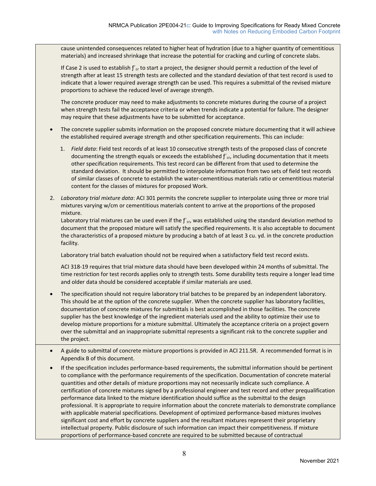cause unintended consequences related to higher heat of hydration (due to a higher quantity of cementitious materials) and increased shrinkage that increase the potential for cracking and curling of concrete slabs.

If Case 2 is used to establish  $f'_{cr}$  to start a project, the designer should permit a reduction of the level of strength after at least 15 strength tests are collected and the standard deviation of that test record is used to indicate that a lower required average strength can be used. This requires a submittal of the revised mixture proportions to achieve the reduced level of average strength.

The concrete producer may need to make adjustments to concrete mixtures during the course of a project when strength tests fail the acceptance criteria or when trends indicate a potential for failure. The designer may require that these adjustments have to be submitted for acceptance.

- The concrete supplier submits information on the proposed concrete mixture documenting that it will achieve the established required average strength and other specification requirements. This can include:
	- 1. *Field data*: Field test records of at least 10 consecutive strength tests of the proposed class of concrete documenting the strength equals or exceeds the established  $f'_{cr}$ , including documentation that it meets other specification requirements. This test record can be different from that used to determine the standard deviation. It should be permitted to interpolate information from two sets of field test records of similar classes of concrete to establish the water‐cementitious materials ratio or cementitious material content for the classes of mixtures for proposed Work.
- 2. *Laboratory trial mixture data*: ACI 301 permits the concrete supplier to interpolate using three or more trial mixtures varying w/cm or cementitious materials content to arrive at the proportions of the proposed mixture.

Laboratory trial mixtures can be used even if the  $f'_{cr}$ , was established using the standard deviation method to document that the proposed mixture will satisfy the specified requirements. It is also acceptable to document the characteristics of a proposed mixture by producing a batch of at least 3 cu. yd. in the concrete production facility.

Laboratory trial batch evaluation should not be required when a satisfactory field test record exists.

ACI 318‐19 requires that trial mixture data should have been developed within 24 months of submittal. The time restriction for test records applies only to strength tests. Some durability tests require a longer lead time and older data should be considered acceptable if similar materials are used.

- The specification should not require laboratory trial batches to be prepared by an independent laboratory. This should be at the option of the concrete supplier. When the concrete supplier has laboratory facilities, documentation of concrete mixtures for submittals is best accomplished in those facilities. The concrete supplier has the best knowledge of the ingredient materials used and the ability to optimize their use to develop mixture proportions for a mixture submittal. Ultimately the acceptance criteria on a project govern over the submittal and an inappropriate submittal represents a significant risk to the concrete supplier and the project.
- A guide to submittal of concrete mixture proportions is provided in ACI 211.5R. A recommended format is in Appendix B of this document.
- If the specification includes performance-based requirements, the submittal information should be pertinent to compliance with the performance requirements of the specification. Documentation of concrete material quantities and other details of mixture proportions may not necessarily indicate such compliance. A certification of concrete mixtures signed by a professional engineer and test record and other prequalification performance data linked to the mixture identification should suffice as the submittal to the design professional. It is appropriate to require information about the concrete materials to demonstrate compliance with applicable material specifications. Development of optimized performance-based mixtures involves significant cost and effort by concrete suppliers and the resultant mixtures represent their proprietary intellectual property. Public disclosure of such information can impact their competitiveness. If mixture proportions of performance‐based concrete are required to be submitted because of contractual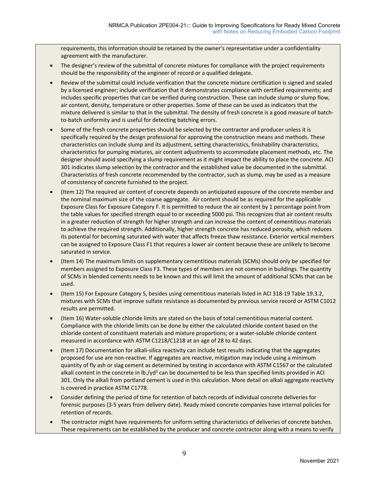requirements, this information should be retained by the owner's representative under a confidentiality agreement with the manufacturer.

- The designer's review of the submittal of concrete mixtures for compliance with the project requirements should be the responsibility of the engineer of record or a qualified delegate.
- Review of the submittal could include verification that the concrete mixture certification is signed and sealed by a licensed engineer; include verification that it demonstrates compliance with certified requirements; and includes specific properties that can be verified during construction. These can include slump or slump flow, air content, density, temperature or other properties. Some of these can be used as indicators that the mixture delivered is similar to that in the submittal. The density of fresh concrete is a good measure of batch‐ to-batch uniformity and is useful for detecting batching errors.
- Some of the fresh concrete properties should be selected by the contractor and producer unless it is specifically required by the design professional for approving the construction means and methods. These characteristics can include slump and its adjustment, setting characteristics, finishability characteristics, characteristics for pumping mixtures, air content adjustments to accommodate placement methods, etc. The designer should avoid specifying a slump requirement as it might impact the ability to place the concrete. ACI 301 indicates slump selection by the contractor and the established value be documented in the submittal. Characteristics of fresh concrete recommended by the contractor, such as slump, may be used as a measure of consistency of concrete furnished to the project.
- (Item 12) The required air content of concrete depends on anticipated exposure of the concrete member and the nominal maximum size of the coarse aggregate. Air content should be as required for the applicable Exposure Class for Exposure Category F. It is permitted to reduce the air content by 1 percentage point from the table values for specified strength equal to or exceeding 5000 psi. This recognizes that air content results in a greater reduction of strength for higher strength and can increase the content of cementitious materials to achieve the required strength. Additionally, higher strength concrete has reduced porosity, which reduces its potential for becoming saturated with water that affects freeze thaw resistance. Exterior vertical members can be assigned to Exposure Class F1 that requires a lower air content because these are unlikely to become saturated in service.
- (Item 14) The maximum limits on supplementary cementitious materials (SCMs) should only be specified for members assigned to Exposure Class F3. These types of members are not common in buildings. The quantity of SCMs in blended cements needs to be known and this will limit the amount of additional SCMs that can be used.
- (Item 15) For Exposure Category S, besides using cementitious materials listed in ACI 318‐19 Table 19.3.2, mixtures with SCMs that improve sulfate resistance as documented by previous service record or ASTM C1012 results are permitted.
- (Item 16) Water‐soluble chloride limits are stated on the basis of total cementitious material content. Compliance with the chloride limits can be done by either the calculated chloride content based on the chloride content of constituent materials and mixture proportions; or a water‐soluble chloride content measured in accordance with ASTM C1218/C1218 at an age of 28 to 42 days.
- (Item 17) Documentation for alkali‐silica reactivity can include test results indicating that the aggregates proposed for use are non-reactive. If aggregates are reactive, mitigation may include using a minimum quantity of fly ash or slag cement as determined by testing in accordance with ASTM C1567 or the calculated alkali content in the concrete in  $\frac{1}{2}$  can be documented to be less than specified limits provided in ACI 301. Only the alkali from portland cement is used in this calculation. More detail on alkali aggregate reactivity is covered in practice ASTM C1778.
- Consider defining the period of time for retention of batch records of individual concrete deliveries for forensic purposes (3‐5 years from delivery date). Ready mixed concrete companies have internal policies for retention of records.
- The contractor might have requirements for uniform setting characteristics of deliveries of concrete batches. These requirements can be established by the producer and concrete contractor along with a means to verify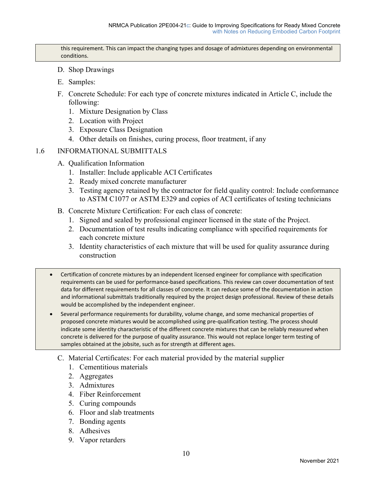this requirement. This can impact the changing types and dosage of admixtures depending on environmental conditions.

- D. Shop Drawings
- E. Samples:
- F. Concrete Schedule: For each type of concrete mixtures indicated in Article C, include the following:
	- 1. Mixture Designation by Class
	- 2. Location with Project
	- 3. Exposure Class Designation
	- 4. Other details on finishes, curing process, floor treatment, if any

#### 1.6 INFORMATIONAL SUBMITTALS

- A. Qualification Information
	- 1. Installer: Include applicable ACI Certificates
	- 2. Ready mixed concrete manufacturer
	- 3. Testing agency retained by the contractor for field quality control: Include conformance to ASTM C1077 or ASTM E329 and copies of ACI certificates of testing technicians
- B. Concrete Mixture Certification: For each class of concrete:
	- 1. Signed and sealed by professional engineer licensed in the state of the Project.
	- 2. Documentation of test results indicating compliance with specified requirements for each concrete mixture
	- 3. Identity characteristics of each mixture that will be used for quality assurance during construction
- Certification of concrete mixtures by an independent licensed engineer for compliance with specification requirements can be used for performance‐based specifications. This review can cover documentation of test data for different requirements for all classes of concrete. It can reduce some of the documentation in action and informational submittals traditionally required by the project design professional. Review of these details would be accomplished by the independent engineer.
- Several performance requirements for durability, volume change, and some mechanical properties of proposed concrete mixtures would be accomplished using pre‐qualification testing. The process should indicate some identity characteristic of the different concrete mixtures that can be reliably measured when concrete is delivered for the purpose of quality assurance. This would not replace longer term testing of samples obtained at the jobsite, such as for strength at different ages.
	- C. Material Certificates: For each material provided by the material supplier
		- 1. Cementitious materials
		- 2. Aggregates
		- 3. Admixtures
		- 4. Fiber Reinforcement
		- 5. Curing compounds
		- 6. Floor and slab treatments
		- 7. Bonding agents
		- 8. Adhesives
		- 9. Vapor retarders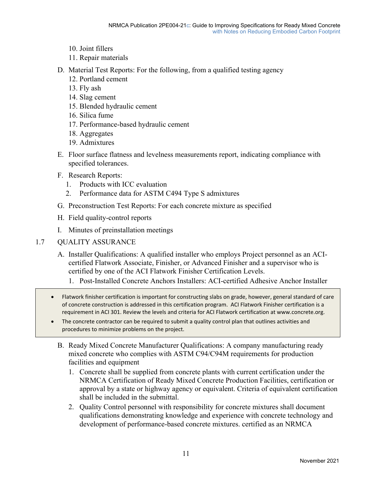- 10. Joint fillers
- 11. Repair materials
- D. Material Test Reports: For the following, from a qualified testing agency
	- 12. Portland cement
	- 13. Fly ash
	- 14. Slag cement
	- 15. Blended hydraulic cement
	- 16. Silica fume
	- 17. Performance-based hydraulic cement
	- 18. Aggregates
	- 19. Admixtures
- E. Floor surface flatness and levelness measurements report, indicating compliance with specified tolerances.
- F. Research Reports:
	- 1. Products with ICC evaluation
	- 2. Performance data for ASTM C494 Type S admixtures
- G. Preconstruction Test Reports: For each concrete mixture as specified
- H. Field quality-control reports
- I. Minutes of preinstallation meetings

# 1.7 QUALITY ASSURANCE

- A. Installer Qualifications: A qualified installer who employs Project personnel as an ACIcertified Flatwork Associate, Finisher, or Advanced Finisher and a supervisor who is certified by one of the ACI Flatwork Finisher Certification Levels.
	- 1. Post-Installed Concrete Anchors Installers: ACI-certified Adhesive Anchor Installer
- Flatwork finisher certification is important for constructing slabs on grade, however, general standard of care of concrete construction is addressed in this certification program. ACI Flatwork Finisher certification is a requirement in ACI 301. Review the levels and criteria for ACI Flatwork certification at www.concrete.org.
- The concrete contractor can be required to submit a quality control plan that outlines activities and procedures to minimize problems on the project.
	- B. Ready Mixed Concrete Manufacturer Qualifications: A company manufacturing ready mixed concrete who complies with ASTM C94/C94M requirements for production facilities and equipment
		- 1. Concrete shall be supplied from concrete plants with current certification under the NRMCA Certification of Ready Mixed Concrete Production Facilities, certification or approval by a state or highway agency or equivalent. Criteria of equivalent certification shall be included in the submittal.
		- 2. Quality Control personnel with responsibility for concrete mixtures shall document qualifications demonstrating knowledge and experience with concrete technology and development of performance-based concrete mixtures. certified as an NRMCA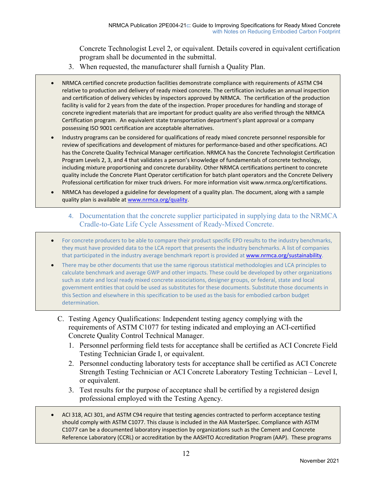Concrete Technologist Level 2, or equivalent. Details covered in equivalent certification program shall be documented in the submittal.

- 3. When requested, the manufacturer shall furnish a Quality Plan.
- NRMCA certified concrete production facilities demonstrate compliance with requirements of ASTM C94 relative to production and delivery of ready mixed concrete. The certification includes an annual inspection and certification of delivery vehicles by inspectors approved by NRMCA. The certification of the production facility is valid for 2 years from the date of the inspection. Proper procedures for handling and storage of concrete ingredient materials that are important for product quality are also verified through the NRMCA Certification program. An equivalent state transportation department's plant approval or a company possessing ISO 9001 certification are acceptable alternatives.
- Industry programs can be considered for qualifications of ready mixed concrete personnel responsible for review of specifications and development of mixtures for performance‐based and other specifications. ACI has the Concrete Quality Technical Manager certification. NRMCA has the Concrete Technologist Certification Program Levels 2, 3, and 4 that validates a person's knowledge of fundamentals of concrete technology, including mixture proportioning and concrete durability. Other NRMCA certifications pertinent to concrete quality include the Concrete Plant Operator certification for batch plant operators and the Concrete Delivery Professional certification for mixer truck drivers. For more information visit www.nrmca.org/certifications.
- NRMCA has developed a guideline for development of a quality plan. The document, along with a sample quality plan is available at www.nrmca.org/quality.
	- 4. Documentation that the concrete supplier participated in supplying data to the NRMCA Cradle-to-Gate Life Cycle Assessment of Ready-Mixed Concrete.
- For concrete producers to be able to compare their product specific EPD results to the industry benchmarks, they must have provided data to the LCA report that presents the industry benchmarks. A list of companies that participated in the industry average benchmark report is provided at www.nrmca.org/sustainability.
- There may be other documents that use the same rigorous statistical methodologies and LCA principles to calculate benchmark and average GWP and other impacts. These could be developed by other organizations such as state and local ready mixed concrete associations, designer groups, or federal, state and local government entities that could be used as substitutes for these documents. Substitute those documents in this Section and elsewhere in this specification to be used as the basis for embodied carbon budget determination.
	- C. Testing Agency Qualifications: Independent testing agency complying with the requirements of ASTM C1077 for testing indicated and employing an ACI-certified Concrete Quality Control Technical Manager.
		- 1. Personnel performing field tests for acceptance shall be certified as ACI Concrete Field Testing Technician Grade I, or equivalent.
		- 2. Personnel conducting laboratory tests for acceptance shall be certified as ACI Concrete Strength Testing Technician or ACI Concrete Laboratory Testing Technician – Level I, or equivalent.
		- 3. Test results for the purpose of acceptance shall be certified by a registered design professional employed with the Testing Agency.
- ACI 318, ACI 301, and ASTM C94 require that testing agencies contracted to perform acceptance testing should comply with ASTM C1077. This clause is included in the AIA MasterSpec. Compliance with ASTM C1077 can be a documented laboratory inspection by organizations such as the Cement and Concrete Reference Laboratory (CCRL) or accreditation by the AASHTO Accreditation Program (AAP). These programs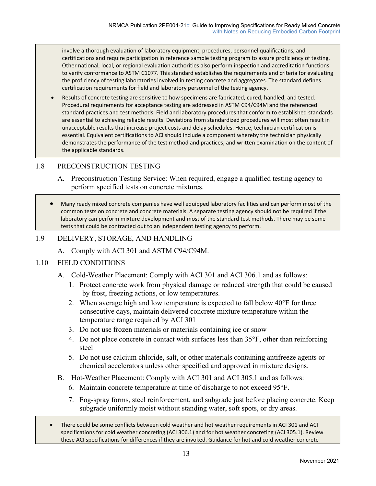involve a thorough evaluation of laboratory equipment, procedures, personnel qualifications, and certifications and require participation in reference sample testing program to assure proficiency of testing. Other national, local, or regional evaluation authorities also perform inspection and accreditation functions to verify conformance to ASTM C1077. This standard establishes the requirements and criteria for evaluating the proficiency of testing laboratories involved in testing concrete and aggregates. The standard defines certification requirements for field and laboratory personnel of the testing agency.

 Results of concrete testing are sensitive to how specimens are fabricated, cured, handled, and tested. Procedural requirements for acceptance testing are addressed in ASTM C94/C94M and the referenced standard practices and test methods. Field and laboratory procedures that conform to established standards are essential to achieving reliable results. Deviations from standardized procedures will most often result in unacceptable results that increase project costs and delay schedules. Hence, technician certification is essential. Equivalent certifications to ACI should include a component whereby the technician physically demonstrates the performance of the test method and practices, and written examination on the content of the applicable standards.

#### 1.8 PRECONSTRUCTION TESTING

- A. Preconstruction Testing Service: When required, engage a qualified testing agency to perform specified tests on concrete mixtures.
- Many ready mixed concrete companies have well equipped laboratory facilities and can perform most of the common tests on concrete and concrete materials. A separate testing agency should not be required if the laboratory can perform mixture development and most of the standard test methods. There may be some tests that could be contracted out to an independent testing agency to perform.

#### 1.9 DELIVERY, STORAGE, AND HANDLING

A. Comply with ACI 301 and ASTM C94/C94M.

#### 1.10 FIELD CONDITIONS

- A. Cold-Weather Placement: Comply with ACI 301 and ACI 306.1 and as follows:
	- 1. Protect concrete work from physical damage or reduced strength that could be caused by frost, freezing actions, or low temperatures.
	- 2. When average high and low temperature is expected to fall below 40°F for three consecutive days, maintain delivered concrete mixture temperature within the temperature range required by ACI 301
	- 3. Do not use frozen materials or materials containing ice or snow
	- 4. Do not place concrete in contact with surfaces less than 35°F, other than reinforcing steel
	- 5. Do not use calcium chloride, salt, or other materials containing antifreeze agents or chemical accelerators unless other specified and approved in mixture designs.
- B. Hot-Weather Placement: Comply with ACI 301 and ACI 305.1 and as follows:
	- 6. Maintain concrete temperature at time of discharge to not exceed 95°F.
	- 7. Fog-spray forms, steel reinforcement, and subgrade just before placing concrete. Keep subgrade uniformly moist without standing water, soft spots, or dry areas.

 There could be some conflicts between cold weather and hot weather requirements in ACI 301 and ACI specifications for cold weather concreting (ACI 306.1) and for hot weather concreting (ACI 305.1). Review these ACI specifications for differences if they are invoked. Guidance for hot and cold weather concrete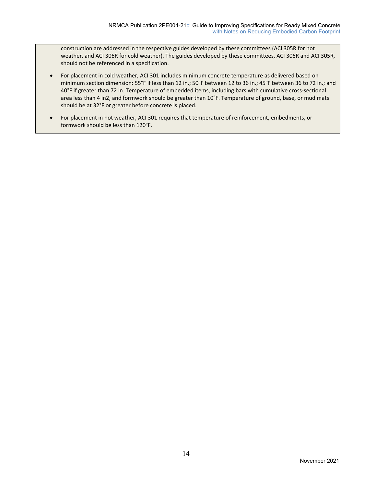construction are addressed in the respective guides developed by these committees (ACI 305R for hot weather, and ACI 306R for cold weather). The guides developed by these committees, ACI 306R and ACI 305R, should not be referenced in a specification.

- For placement in cold weather, ACI 301 includes minimum concrete temperature as delivered based on minimum section dimension: 55°F if less than 12 in.; 50°F between 12 to 36 in.; 45°F between 36 to 72 in.; and 40°F if greater than 72 in. Temperature of embedded items, including bars with cumulative cross‐sectional area less than 4 in2, and formwork should be greater than 10°F. Temperature of ground, base, or mud mats should be at 32°F or greater before concrete is placed.
- For placement in hot weather, ACI 301 requires that temperature of reinforcement, embedments, or formwork should be less than 120°F.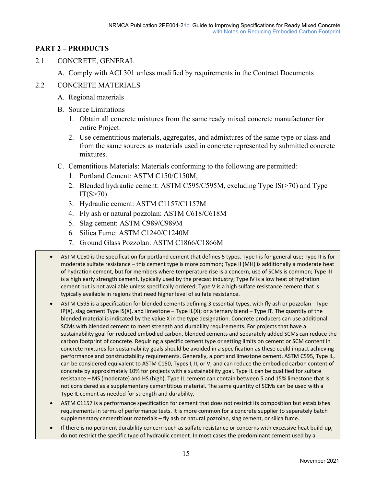#### **PART 2 – PRODUCTS**

- 2.1 CONCRETE, GENERAL
	- A. Comply with ACI 301 unless modified by requirements in the Contract Documents
- 2.2 CONCRETE MATERIALS
	- A. Regional materials
	- B. Source Limitations
		- 1. Obtain all concrete mixtures from the same ready mixed concrete manufacturer for entire Project.
		- 2. Use cementitious materials, aggregates, and admixtures of the same type or class and from the same sources as materials used in concrete represented by submitted concrete mixtures.
	- C. Cementitious Materials: Materials conforming to the following are permitted:
		- 1. Portland Cement: ASTM C150/C150M,
		- 2. Blended hydraulic cement: ASTM C595/C595M, excluding Type IS(>70) and Type  $IT(S>70)$
		- 3. Hydraulic cement: ASTM C1157/C1157M
		- 4. Fly ash or natural pozzolan: ASTM C618/C618M
		- 5. Slag cement: ASTM C989/C989M
		- 6. Silica Fume: ASTM C1240/C1240M
		- 7. Ground Glass Pozzolan: ASTM C1866/C1866M
	- ASTM C150 is the specification for portland cement that defines 5 types. Type I is for general use; Type II is for moderate sulfate resistance – this cement type is more common; Type II (MH) is additionally a moderate heat of hydration cement, but for members where temperature rise is a concern, use of SCMs is common; Type III is a high early strength cement, typically used by the precast industry; Type IV is a low heat of hydration cement but is not available unless specifically ordered; Type V is a high sulfate resistance cement that is typically available in regions that need higher level of sulfate resistance.
	- ASTM C595 is a specification for blended cements defining 3 essential types, with fly ash or pozzolan ‐ Type IP(X), slag cement Type IS(X), and limestone – Type IL(X); or a ternary blend – Type IT. The quantity of the blended material is indicated by the value X in the type designation. Concrete producers can use additional SCMs with blended cement to meet strength and durability requirements. For projects that have a sustainability goal for reduced embodied carbon, blended cements and separately added SCMs can reduce the carbon footprint of concrete. Requiring a specific cement type or setting limits on cement or SCM content in concrete mixtures for sustainability goals should be avoided in a specification as these could impact achieving performance and constructability requirements. Generally, a portland limestone cement, ASTM C595, Type IL, can be considered equivalent to ASTM C150, Types I, II, or V, and can reduce the embodied carbon content of concrete by approximately 10% for projects with a sustainability goal. Type IL can be qualified for sulfate resistance – MS (moderate) and HS (high). Type IL cement can contain between 5 and 15% limestone that is not considered as a supplementary cementitious material. The same quantity of SCMs can be used with a Type IL cement as needed for strength and durability.
	- ASTM C1157 is a performance specification for cement that does not restrict its composition but establishes requirements in terms of performance tests. It is more common for a concrete supplier to separately batch supplementary cementitious materials – fly ash or natural pozzolan, slag cement, or silica fume.
	- If there is no pertinent durability concern such as sulfate resistance or concerns with excessive heat build‐up, do not restrict the specific type of hydraulic cement. In most cases the predominant cement used by a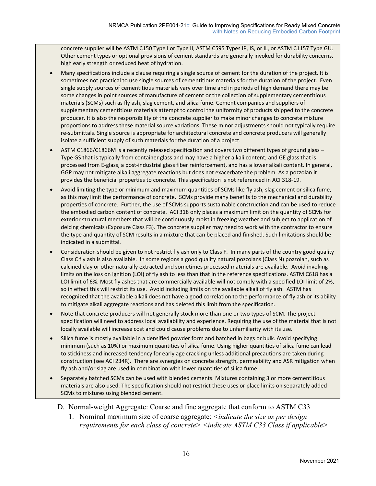concrete supplier will be ASTM C150 Type I or Type II, ASTM C595 Types IP, IS, or IL, or ASTM C1157 Type GU. Other cement types or optional provisions of cement standards are generally invoked for durability concerns, high early strength or reduced heat of hydration.

- Many specifications include a clause requiring a single source of cement for the duration of the project. It is sometimes not practical to use single sources of cementitious materials for the duration of the project. Even single supply sources of cementitious materials vary over time and in periods of high demand there may be some changes in point sources of manufacture of cement or the collection of supplementary cementitious materials (SCMs) such as fly ash, slag cement, and silica fume. Cement companies and suppliers of supplementary cementitious materials attempt to control the uniformity of products shipped to the concrete producer. It is also the responsibility of the concrete supplier to make minor changes to concrete mixture proportions to address these material source variations. These minor adjustments should not typically require re‐submittals. Single source is appropriate for architectural concrete and concrete producers will generally isolate a sufficient supply of such materials for the duration of a project.
- ASTM C1866/C1866M is a recently released specification and covers two different types of ground glass Type GS that is typically from container glass and may have a higher alkali content; and GE glass that is processed from E‐glass, a post‐industrial glass fiber reinforcement, and has a lower alkali content. In general, GGP may not mitigate alkali aggregate reactions but does not exacerbate the problem. As a pozzolan it provides the beneficial properties to concrete. This specification is not referenced in ACI 318‐19.
- Avoid limiting the type or minimum and maximum quantities of SCMs like fly ash, slag cement or silica fume, as this may limit the performance of concrete. SCMs provide many benefits to the mechanical and durability properties of concrete. Further, the use of SCMs supports sustainable construction and can be used to reduce the embodied carbon content of concrete. ACI 318 only places a maximum limit on the quantity of SCMs for exterior structural members that will be continuously moist in freezing weather and subject to application of deicing chemicals (Exposure Class F3). The concrete supplier may need to work with the contractor to ensure the type and quantity of SCM results in a mixture that can be placed and finished. Such limitations should be indicated in a submittal.
- Consideration should be given to not restrict fly ash only to Class F. In many parts of the country good quality Class C fly ash is also available. In some regions a good quality natural pozzolans (Class N) pozzolan, such as calcined clay or other naturally extracted and sometimes processed materials are available. Avoid invoking limits on the loss on ignition (LOI) of fly ash to less than that in the reference specifications. ASTM C618 has a LOI limit of 6%. Most fly ashes that are commercially available will not comply with a specified LOI limit of 2%, so in effect this will restrict its use. Avoid including limits on the available alkali of fly ash. ASTM has recognized that the available alkali does not have a good correlation to the performance of fly ash or its ability to mitigate alkali aggregate reactions and has deleted this limit from the specification.
- Note that concrete producers will not generally stock more than one or two types of SCM. The project specification will need to address local availability and experience. Requiring the use of the material that is not locally available will increase cost and could cause problems due to unfamiliarity with its use.
- Silica fume is mostly available in a densified powder form and batched in bags or bulk. Avoid specifying minimum (such as 10%) or maximum quantities of silica fume. Using higher quantities of silica fume can lead to stickiness and increased tendency for early age cracking unless additional precautions are taken during construction (see ACI 234R). There are synergies on concrete strength, permeability and ASR mitigation when fly ash and/or slag are used in combination with lower quantities of silica fume.
- Separately batched SCMs can be used with blended cements. Mixtures containing 3 or more cementitious materials are also used. The specification should not restrict these uses or place limits on separately added SCMs to mixtures using blended cement.
	- D. Normal-weight Aggregate: Coarse and fine aggregate that conform to ASTM C33
		- 1. Nominal maximum size of coarse aggregate: *<indicate the size as per design requirements for each class of concrete> <indicate ASTM C33 Class if applicable>*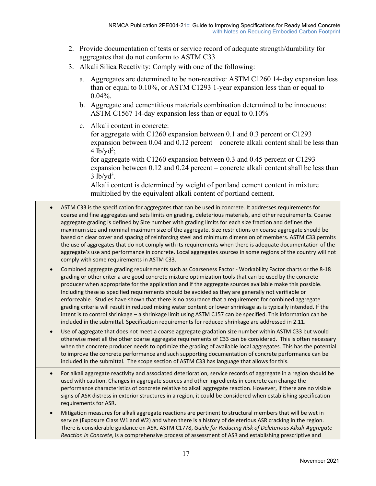- 2. Provide documentation of tests or service record of adequate strength/durability for aggregates that do not conform to ASTM C33
- 3. Alkali Silica Reactivity: Comply with one of the following:
	- a. Aggregates are determined to be non-reactive: ASTM C1260 14-day expansion less than or equal to 0.10%, or ASTM C1293 1-year expansion less than or equal to 0.04%.
	- b. Aggregate and cementitious materials combination determined to be innocuous: ASTM C1567 14-day expansion less than or equal to 0.10%
	- c. Alkali content in concrete:

for aggregate with C1260 expansion between 0.1 and 0.3 percent or C1293 expansion between 0.04 and 0.12 percent – concrete alkali content shall be less than  $4 \frac{1}{9}$ 

for aggregate with C1260 expansion between 0.3 and 0.45 percent or C1293 expansion between 0.12 and 0.24 percent – concrete alkali content shall be less than  $3 lb/yd<sup>3</sup>$ .

Alkali content is determined by weight of portland cement content in mixture multiplied by the equivalent alkali content of portland cement.

- ASTM C33 is the specification for aggregates that can be used in concrete. It addresses requirements for coarse and fine aggregates and sets limits on grading, deleterious materials, and other requirements. Coarse aggregate grading is defined by Size number with grading limits for each size fraction and defines the maximum size and nominal maximum size of the aggregate. Size restrictions on coarse aggregate should be based on clear cover and spacing of reinforcing steel and minimum dimension of members. ASTM C33 permits the use of aggregates that do not comply with its requirements when there is adequate documentation of the aggregate's use and performance in concrete. Local aggregates sources in some regions of the country will not comply with some requirements in ASTM C33.
- Combined aggregate grading requirements such as Coarseness Factor ‐ Workability Factor charts or the 8‐18 grading or other criteria are good concrete mixture optimization tools that can be used by the concrete producer when appropriate for the application and if the aggregate sources available make this possible. Including these as specified requirements should be avoided as they are generally not verifiable or enforceable. Studies have shown that there is no assurance that a requirement for combined aggregate grading criteria will result in reduced mixing water content or lower shrinkage as is typically intended. If the intent is to control shrinkage – a shrinkage limit using ASTM C157 can be specified. This information can be included in the submittal. Specification requirements for reduced shrinkage are addressed in 2.11.
- Use of aggregate that does not meet a coarse aggregate gradation size number within ASTM C33 but would otherwise meet all the other coarse aggregate requirements of C33 can be considered. This is often necessary when the concrete producer needs to optimize the grading of available local aggregates. This has the potential to improve the concrete performance and such supporting documentation of concrete performance can be included in the submittal. The scope section of ASTM C33 has language that allows for this.
- For alkali aggregate reactivity and associated deterioration, service records of aggregate in a region should be used with caution. Changes in aggregate sources and other ingredients in concrete can change the performance characteristics of concrete relative to alkali aggregate reaction. However, if there are no visible signs of ASR distress in exterior structures in a region, it could be considered when establishing specification requirements for ASR.
- Mitigation measures for alkali aggregate reactions are pertinent to structural members that will be wet in service (Exposure Class W1 and W2) and when there is a history of deleterious ASR cracking in the region. There is considerable guidance on ASR. ASTM C1778, *Guide for Reducing Risk of Deleterious Alkali‐Aggregate Reaction in Concrete*, is a comprehensive process of assessment of ASR and establishing prescriptive and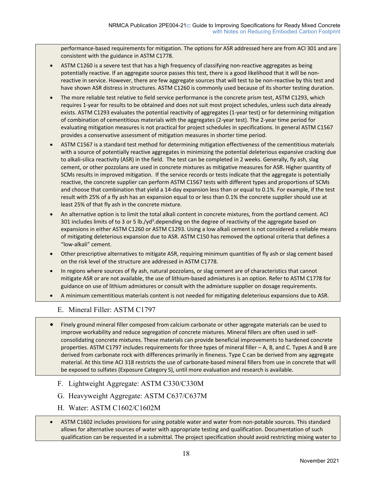performance‐based requirements for mitigation. The options for ASR addressed here are from ACI 301 and are consistent with the guidance in ASTM C1778.

- ASTM C1260 is a severe test that has a high frequency of classifying non-reactive aggregates as being potentially reactive. If an aggregate source passes this test, there is a good likelihood that it will be nonreactive in service. However, there are few aggregate sources that will test to be non-reactive by this test and have shown ASR distress in structures. ASTM C1260 is commonly used because of its shorter testing duration.
- The more reliable test relative to field service performance is the concrete prism test, ASTM C1293, which requires 1‐year for results to be obtained and does not suit most project schedules, unless such data already exists. ASTM C1293 evaluates the potential reactivity of aggregates (1‐year test) or for determining mitigation of combination of cementitious materials with the aggregates (2‐year test). The 2‐year time period for evaluating mitigation measures is not practical for project schedules in specifications. In general ASTM C1567 provides a conservative assessment of mitigation measures in shorter time period.
- ASTM C1567 is a standard test method for determining mitigation effectiveness of the cementitious materials with a source of potentially reactive aggregates in minimizing the potential deleterious expansive cracking due to alkali‐silica reactivity (ASR) in the field. The test can be completed in 2 weeks. Generally, fly ash, slag cement, or other pozzolans are used in concrete mixtures as mitigative measures for ASR. Higher quantity of SCMs results in improved mitigation. If the service records or tests indicate that the aggregate is potentially reactive, the concrete supplier can perform ASTM C1567 tests with different types and proportions of SCMs and choose that combination that yield a 14‐day expansion less than or equal to 0.1%. For example, if the test result with 25% of a fly ash has an expansion equal to or less than 0.1% the concrete supplier should use at least 25% of that fly ash in the concrete mixture.
- An alternative option is to limit the total alkali content in concrete mixtures, from the portland cement. ACI 301 includes limits of to 3 or 5 lb./yd<sup>3</sup>.depending on the degree of reactivity of the aggregate based on expansions in either ASTM C1260 or ASTM C1293. Using a low alkali cement is not considered a reliable means of mitigating deleterious expansion due to ASR. ASTM C150 has removed the optional criteria that defines a "low‐alkali" cement.
- Other prescriptive alternatives to mitigate ASR, requiring minimum quantities of fly ash or slag cement based on the risk level of the structure are addressed in ASTM C1778.
- In regions where sources of fly ash, natural pozzolans, or slag cement are of characteristics that cannot mitigate ASR or are not available, the use of lithium‐based admixtures is an option. Refer to ASTM C1778 for guidance on use of lithium admixtures or consult with the admixture supplier on dosage requirements.
- A minimum cementitious materials content is not needed for mitigating deleterious expansions due to ASR.
	- E. Mineral Filler: ASTM C1797
- Finely ground mineral filler composed from calcium carbonate or other aggregate materials can be used to improve workability and reduce segregation of concrete mixtures. Mineral fillers are often used in self‐ consolidating concrete mixtures. These materials can provide beneficial improvements to hardened concrete properties. ASTM C1797 includes requirements for three types of mineral filler – A, B, and C. Types A and B are derived from carbonate rock with differences primarily in fineness. Type C can be derived from any aggregate material. At this time ACI 318 restricts the use of carbonate‐based mineral fillers from use in concrete that will be exposed to sulfates (Exposure Category S), until more evaluation and research is available.
	- F. Lightweight Aggregate: ASTM C330/C330M
	- G. Heavyweight Aggregate: ASTM C637/C637M
	- H. Water: ASTM C1602/C1602M
- ASTM C1602 includes provisions for using potable water and water from non‐potable sources. This standard allows for alternative sources of water with appropriate testing and qualification. Documentation of such qualification can be requested in a submittal. The project specification should avoid restricting mixing water to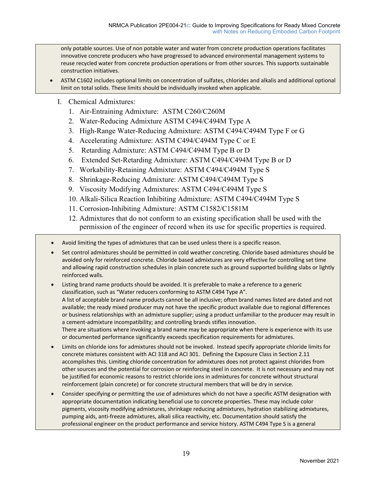only potable sources. Use of non potable water and water from concrete production operations facilitates innovative concrete producers who have progressed to advanced environmental management systems to reuse recycled water from concrete production operations or from other sources. This supports sustainable construction initiatives.

- ASTM C1602 includes optional limits on concentration of sulfates, chlorides and alkalis and additional optional limit on total solids. These limits should be individually invoked when applicable.
	- I. Chemical Admixtures:
		- 1. Air-Entraining Admixture: ASTM C260/C260M
		- 2. Water-Reducing Admixture ASTM C494/C494M Type A
		- 3. High-Range Water-Reducing Admixture: ASTM C494/C494M Type F or G
		- 4. Accelerating Admixture: ASTM C494/C494M Type C or E
		- 5. Retarding Admixture: ASTM C494/C494M Type B or D
		- 6. Extended Set-Retarding Admixture: ASTM C494/C494M Type B or D
		- 7. Workability-Retaining Admixture: ASTM C494/C494M Type S
		- 8. Shrinkage-Reducing Admixture: ASTM C494/C494M Type S
		- 9. Viscosity Modifying Admixtures: ASTM C494/C494M Type S
		- 10. Alkali-Silica Reaction Inhibiting Admixture: ASTM C494/C494M Type S
		- 11. Corrosion-Inhibiting Admixture: ASTM C1582/C1581M
		- 12. Admixtures that do not conform to an existing specification shall be used with the permission of the engineer of record when its use for specific properties is required.
- Avoid limiting the types of admixtures that can be used unless there is a specific reason.
- Set control admixtures should be permitted in cold weather concreting. Chloride based admixtures should be avoided only for reinforced concrete. Chloride based admixtures are very effective for controlling set time and allowing rapid construction schedules in plain concrete such as ground supported building slabs or lightly reinforced walls.
- Listing brand name products should be avoided. It is preferable to make a reference to a generic classification, such as "Water reducers conforming to ASTM C494 Type A". A list of acceptable brand name products cannot be all inclusive; often brand names listed are dated and not available; the ready mixed producer may not have the specific product available due to regional differences or business relationships with an admixture supplier; using a product unfamiliar to the producer may result in a cement‐admixture incompatibility; and controlling brands stifles innovation. There are situations where invoking a brand name may be appropriate when there is experience with its use or documented performance significantly exceeds specification requirements for admixtures.
- Limits on chloride ions for admixtures should not be invoked. Instead specify appropriate chloride limits for concrete mixtures consistent with ACI 318 and ACI 301. Defining the Exposure Class in Section 2.11 accomplishes this. Limiting chloride concentration for admixtures does not protect against chlorides from other sources and the potential for corrosion or reinforcing steel in concrete. It is not necessary and may not be justified for economic reasons to restrict chloride ions in admixtures for concrete without structural reinforcement (plain concrete) or for concrete structural members that will be dry in service.
- Consider specifying or permitting the use of admixtures which do not have a specific ASTM designation with appropriate documentation indicating beneficial use to concrete properties. These may include color pigments, viscosity modifying admixtures, shrinkage reducing admixtures, hydration stabilizing admixtures, pumping aids, anti‐freeze admixtures, alkali silica reactivity, etc. Documentation should satisfy the professional engineer on the product performance and service history. ASTM C494 Type S is a general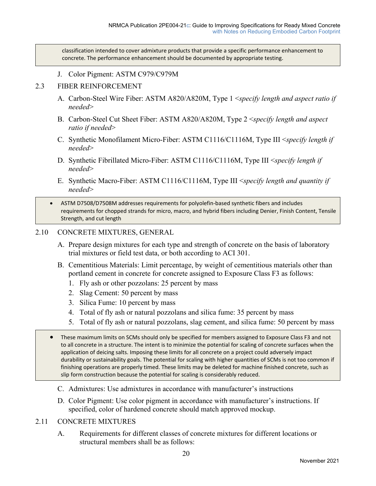classification intended to cover admixture products that provide a specific performance enhancement to concrete. The performance enhancement should be documented by appropriate testing.

J. Color Pigment: ASTM C979/C979M

#### 2.3 FIBER REINFORCEMENT

- A. Carbon-Steel Wire Fiber: ASTM A820/A820M, Type 1 <*specify length and aspect ratio if needed*>
- B. Carbon-Steel Cut Sheet Fiber: ASTM A820/A820M, Type 2 <*specify length and aspect ratio if needed*>
- C. Synthetic Monofilament Micro-Fiber: ASTM C1116/C1116M, Type III <*specify length if needed*>
- D. Synthetic Fibrillated Micro-Fiber: ASTM C1116/C1116M, Type III <*specify length if needed*>
- E. Synthetic Macro-Fiber: ASTM C1116/C1116M, Type III <*specify length and quantity if needed*>
- ASTM D7508/D7508M addresses requirements for polyolefin‐based synthetic fibers and includes requirements for chopped strands for micro, macro, and hybrid fibers including Denier, Finish Content, Tensile Strength, and cut length

#### 2.10 CONCRETE MIXTURES, GENERAL

- A. Prepare design mixtures for each type and strength of concrete on the basis of laboratory trial mixtures or field test data, or both according to ACI 301.
- B. Cementitious Materials: Limit percentage, by weight of cementitious materials other than portland cement in concrete for concrete assigned to Exposure Class F3 as follows:
	- 1. Fly ash or other pozzolans: 25 percent by mass
	- 2. Slag Cement: 50 percent by mass
	- 3. Silica Fume: 10 percent by mass
	- 4. Total of fly ash or natural pozzolans and silica fume: 35 percent by mass
	- 5. Total of fly ash or natural pozzolans, slag cement, and silica fume: 50 percent by mass
- These maximum limits on SCMs should only be specified for members assigned to Exposure Class F3 and not to all concrete in a structure. The intent is to minimize the potential for scaling of concrete surfaces when the application of deicing salts. Imposing these limits for all concrete on a project could adversely impact durability or sustainability goals. The potential for scaling with higher quantities of SCMs is not too common if finishing operations are properly timed. These limits may be deleted for machine finished concrete, such as slip form construction because the potential for scaling is considerably reduced.
	- C. Admixtures: Use admixtures in accordance with manufacturer's instructions
	- D. Color Pigment: Use color pigment in accordance with manufacturer's instructions. If specified, color of hardened concrete should match approved mockup.

#### 2.11 CONCRETE MIXTURES

A. Requirements for different classes of concrete mixtures for different locations or structural members shall be as follows: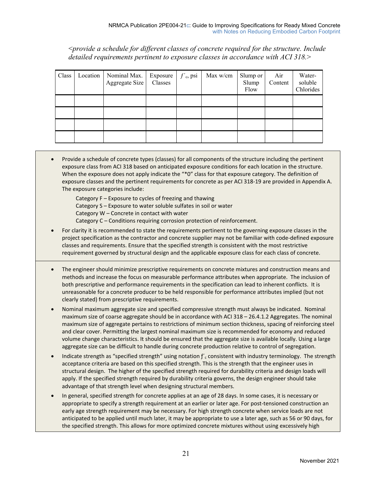<*provide a schedule for different classes of concrete required for the structure. Include detailed requirements pertinent to exposure classes in accordance with ACI 318.*>

| Class | Location | Nominal Max.<br>Aggregate Size | Exposure<br>Classes | $f'$ <sub>c</sub> , psi | Max w/cm | Slump or<br>Slump<br>Flow | Air<br>Content | Water-<br>soluble<br>Chlorides |
|-------|----------|--------------------------------|---------------------|-------------------------|----------|---------------------------|----------------|--------------------------------|
|       |          |                                |                     |                         |          |                           |                |                                |
|       |          |                                |                     |                         |          |                           |                |                                |
|       |          |                                |                     |                         |          |                           |                |                                |
|       |          |                                |                     |                         |          |                           |                |                                |

- Provide a schedule of concrete types (classes) for all components of the structure including the pertinent exposure class from ACI 318 based on anticipated exposure conditions for each location in the structure. When the exposure does not apply indicate the "\*0" class for that exposure category. The definition of exposure classes and the pertinent requirements for concrete as per ACI 318‐19 are provided in Appendix A. The exposure categories include:
	- Category F Exposure to cycles of freezing and thawing
	- Category S Exposure to water soluble sulfates in soil or water
	- Category W Concrete in contact with water
	- Category C Conditions requiring corrosion protection of reinforcement.
- For clarity it is recommended to state the requirements pertinent to the governing exposure classes in the project specification as the contractor and concrete supplier may not be familiar with code‐defined exposure classes and requirements. Ensure that the specified strength is consistent with the most restrictive requirement governed by structural design and the applicable exposure class for each class of concrete.
- The engineer should minimize prescriptive requirements on concrete mixtures and construction means and methods and increase the focus on measurable performance attributes when appropriate. The inclusion of both prescriptive and performance requirements in the specification can lead to inherent conflicts. It is unreasonable for a concrete producer to be held responsible for performance attributes implied (but not clearly stated) from prescriptive requirements.
- Nominal maximum aggregate size and specified compressive strength must always be indicated. Nominal maximum size of coarse aggregate should be in accordance with ACI 318 – 26.4.1.2 Aggregates. The nominal maximum size of aggregate pertains to restrictions of minimum section thickness, spacing of reinforcing steel and clear cover. Permitting the largest nominal maximum size is recommended for economy and reduced volume change characteristics. It should be ensured that the aggregate size is available locally. Using a large aggregate size can be difficult to handle during concrete production relative to control of segregation.
- Indicate strength as "specified strength" using notation  $f'_{c}$  consistent with industry terminology. The strength acceptance criteria are based on this specified strength. This is the strength that the engineer uses in structural design. The higher of the specified strength required for durability criteria and design loads will apply. If the specified strength required by durability criteria governs, the design engineer should take advantage of that strength level when designing structural members.
- In general, specified strength for concrete applies at an age of 28 days. In some cases, it is necessary or appropriate to specify a strength requirement at an earlier or later age. For post-tensioned construction an early age strength requirement may be necessary. For high strength concrete when service loads are not anticipated to be applied until much later, it may be appropriate to use a later age, such as 56 or 90 days, for the specified strength. This allows for more optimized concrete mixtures without using excessively high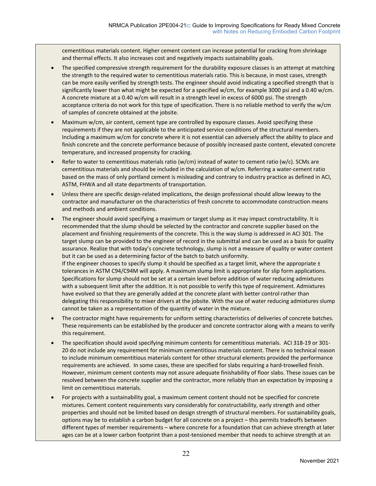cementitious materials content. Higher cement content can increase potential for cracking from shrinkage and thermal effects. It also increases cost and negatively impacts sustainability goals.

- The specified compressive strength requirement for the durability exposure classes is an attempt at matching the strength to the required water to cementitious materials ratio. This is because, in most cases, strength can be more easily verified by strength tests. The engineer should avoid indicating a specified strength that is significantly lower than what might be expected for a specified w/cm, for example 3000 psi and a 0.40 w/cm. A concrete mixture at a 0.40 w/cm will result in a strength level in excess of 6000 psi. The strength acceptance criteria do not work for this type of specification. There is no reliable method to verify the w/cm of samples of concrete obtained at the jobsite.
- Maximum w/cm, air content, cement type are controlled by exposure classes. Avoid specifying these requirements if they are not applicable to the anticipated service conditions of the structural members. Including a maximum w/cm for concrete where it is not essential can adversely affect the ability to place and finish concrete and the concrete performance because of possibly increased paste content, elevated concrete temperature, and increased propensity for cracking.
- Refer to water to cementitious materials ratio (w/cm) instead of water to cement ratio (w/c). SCMs are cementitious materials and should be included in the calculation of w/cm. Referring a water‐cement ratio based on the mass of only portland cement is misleading and contrary to industry practice as defined in ACI, ASTM, FHWA and all state departments of transportation.
- Unless there are specific design-related implications, the design professional should allow leeway to the contractor and manufacturer on the characteristics of fresh concrete to accommodate construction means and methods and ambient conditions.
- The engineer should avoid specifying a maximum or target slump as it may impact constructability. It is recommended that the slump should be selected by the contractor and concrete supplier based on the placement and finishing requirements of the concrete. This is the way slump is addressed in ACI 301. The target slump can be provided to the engineer of record in the submittal and can be used as a basis for quality assurance. Realize that with today's concrete technology, slump is not a measure of quality or water content but it can be used as a determining factor of the batch to batch uniformity. If the engineer chooses to specify slump it should be specified as a target limit, where the appropriate  $\pm$ tolerances in ASTM C94/C94M will apply. A maximum slump limit is appropriate for slip form applications. Specifications for slump should not be set at a certain level before addition of water reducing admixtures with a subsequent limit after the addition. It is not possible to verify this type of requirement. Admixtures have evolved so that they are generally added at the concrete plant with better control rather than delegating this responsibility to mixer drivers at the jobsite. With the use of water reducing admixtures slump cannot be taken as a representation of the quantity of water in the mixture.
- The contractor might have requirements for uniform setting characteristics of deliveries of concrete batches. These requirements can be established by the producer and concrete contractor along with a means to verify this requirement.
- The specification should avoid specifying minimum contents for cementitious materials. ACI 318‐19 or 301‐ 20 do not include any requirement for minimum cementitious materials content. There is no technical reason to include minimum cementitious materials content for other structural elements provided the performance requirements are achieved. In some cases, these are specified for slabs requiring a hard‐trowelled finish. However, minimum cement contents may not assure adequate finishability of floor slabs. These issues can be resolved between the concrete supplier and the contractor, more reliably than an expectation by imposing a limit on cementitious materials.
- For projects with a sustainability goal, a maximum cement content should not be specified for concrete mixtures. Cement content requirements vary considerably for constructability, early strength and other properties and should not be limited based on design strength of structural members. For sustainability goals, options may be to establish a carbon budget for all concrete on a project – this permits tradeoffs between different types of member requirements – where concrete for a foundation that can achieve strength at later ages can be at a lower carbon footprint than a post-tensioned member that needs to achieve strength at an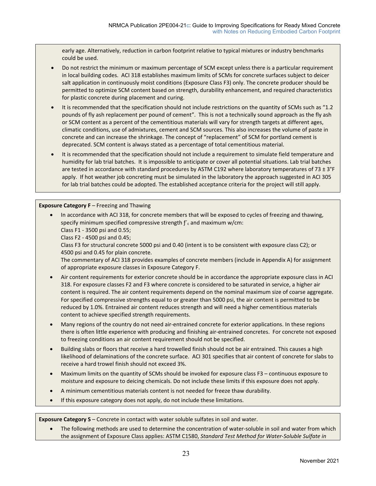early age. Alternatively, reduction in carbon footprint relative to typical mixtures or industry benchmarks could be used.

- Do not restrict the minimum or maximum percentage of SCM except unless there is a particular requirement in local building codes. ACI 318 establishes maximum limits of SCMs for concrete surfaces subject to deicer salt application in continuously moist conditions (Exposure Class F3) only. The concrete producer should be permitted to optimize SCM content based on strength, durability enhancement, and required characteristics for plastic concrete during placement and curing.
- It is recommended that the specification should not include restrictions on the quantity of SCMs such as "1.2 pounds of fly ash replacement per pound of cement". This is not a technically sound approach as the fly ash or SCM content as a percent of the cementitious materials will vary for strength targets at different ages, climatic conditions, use of admixtures, cement and SCM sources. This also increases the volume of paste in concrete and can increase the shrinkage. The concept of "replacement" of SCM for portland cement is deprecated. SCM content is always stated as a percentage of total cementitious material.
- It is recommended that the specification should not include a requirement to simulate field temperature and humidity for lab trial batches. It is impossible to anticipate or cover all potential situations. Lab trial batches are tested in accordance with standard procedures by ASTM C192 where laboratory temperatures of 73 ± 3°F apply. If hot weather job concreting must be simulated in the laboratory the approach suggested in ACI 305 for lab trial batches could be adopted. The established acceptance criteria for the project will still apply.

#### **Exposure Category F** – Freezing and Thawing

 In accordance with ACI 318, for concrete members that will be exposed to cycles of freezing and thawing, specify minimum specified compressive strength  $f_c$  and maximum w/cm: Class F1 ‐ 3500 psi and 0.55;

Class F2 ‐ 4500 psi and 0.45;

Class F3 for structural concrete 5000 psi and 0.40 (intent is to be consistent with exposure class C2); or 4500 psi and 0.45 for plain concrete.

The commentary of ACI 318 provides examples of concrete members (include in Appendix A) for assignment of appropriate exposure classes in Exposure Category F.

- Air content requirements for exterior concrete should be in accordance the appropriate exposure class in ACI 318. For exposure classes F2 and F3 where concrete is considered to be saturated in service, a higher air content is required. The air content requirements depend on the nominal maximum size of coarse aggregate. For specified compressive strengths equal to or greater than 5000 psi, the air content is permitted to be reduced by 1.0%. Entrained air content reduces strength and will need a higher cementitious materials content to achieve specified strength requirements.
- Many regions of the country do not need air‐entrained concrete for exterior applications. In these regions there is often little experience with producing and finishing air‐entrained concretes. For concrete not exposed to freezing conditions an air content requirement should not be specified.
- Building slabs or floors that receive a hard trowelled finish should not be air entrained. This causes a high likelihood of delaminations of the concrete surface. ACI 301 specifies that air content of concrete for slabs to receive a hard trowel finish should not exceed 3%.
- Maximum limits on the quantity of SCMs should be invoked for exposure class F3 continuous exposure to moisture and exposure to deicing chemicals. Do not include these limits if this exposure does not apply.
- A minimum cementitious materials content is not needed for freeze thaw durability.
- If this exposure category does not apply, do not include these limitations.

**Exposure Category S** – Concrete in contact with water soluble sulfates in soil and water.

The following methods are used to determine the concentration of water-soluble in soil and water from which the assignment of Exposure Class applies: ASTM C1580, *Standard Test Method for Water‐Soluble Sulfate in*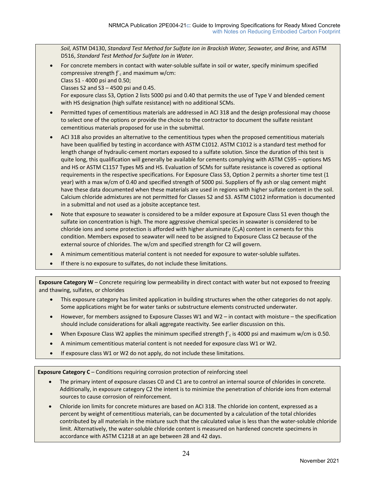*Soil,* ASTM D4130, *Standard Test Method for Sulfate Ion in Brackish Water, Seawater, and Brine,* and ASTM D516, *Standard Test Method for Sulfate Ion in Water.*

 For concrete members in contact with water‐soluble sulfate in soil or water, specify minimum specified compressive strength  $f_c$  and maximum w/cm: Class S1 ‐ 4000 psi and 0.50;

Classes S2 and S3 – 4500 psi and 0.45.

For exposure class S3, Option 2 lists 5000 psi and 0.40 that permits the use of Type V and blended cement with HS designation (high sulfate resistance) with no additional SCMs.

- Permitted types of cementitious materials are addressed in ACI 318 and the design professional may choose to select one of the options or provide the choice to the contractor to document the sulfate resistant cementitious materials proposed for use in the submittal.
- ACI 318 also provides an alternative to the cementitious types when the proposed cementitious materials have been qualified by testing in accordance with ASTM C1012. ASTM C1012 is a standard test method for length change of hydraulic‐cement mortars exposed to a sulfate solution. Since the duration of this test is quite long, this qualification will generally be available for cements complying with ASTM C595 – options MS and HS or ASTM C1157 Types MS and HS. Evaluation of SCMs for sulfate resistance is covered as optional requirements in the respective specifications. For Exposure Class S3, Option 2 permits a shorter time test (1 year) with a max w/cm of 0.40 and specified strength of 5000 psi. Suppliers of fly ash or slag cement might have these data documented when these materials are used in regions with higher sulfate content in the soil. Calcium chloride admixtures are not permitted for Classes S2 and S3. ASTM C1012 information is documented in a submittal and not used as a jobsite acceptance test.
- Note that exposure to seawater is considered to be a milder exposure at Exposure Class S1 even though the sulfate ion concentration is high. The more aggressive chemical species in seawater is considered to be chloride ions and some protection is afforded with higher aluminate  $(C_3A)$  content in cements for this condition. Members exposed to seawater will need to be assigned to Exposure Class C2 because of the external source of chlorides. The w/cm and specified strength for C2 will govern.
- A minimum cementitious material content is not needed for exposure to water‐soluble sulfates.
- If there is no exposure to sulfates, do not include these limitations.

**Exposure Category W** – Concrete requiring low permeability in direct contact with water but not exposed to freezing and thawing, sulfates, or chlorides

- This exposure category has limited application in building structures when the other categories do not apply. Some applications might be for water tanks or substructure elements constructed underwater.
- However, for members assigned to Exposure Classes W1 and W2 in contact with moisture the specification should include considerations for alkali aggregate reactivity. See earlier discussion on this.
- When Exposure Class W2 applies the minimum specified strength  $f_c$  is 4000 psi and maximum w/cm is 0.50.
- A minimum cementitious material content is not needed for exposure class W1 or W2.
- If exposure class W1 or W2 do not apply, do not include these limitations.

**Exposure Category C** – Conditions requiring corrosion protection of reinforcing steel

- The primary intent of exposure classes C0 and C1 are to control an internal source of chlorides in concrete. Additionally, in exposure category C2 the intent is to minimize the penetration of chloride ions from external sources to cause corrosion of reinforcement.
- Chloride ion limits for concrete mixtures are based on ACI 318. The chloride ion content, expressed as a percent by weight of cementitious materials, can be documented by a calculation of the total chlorides contributed by all materials in the mixture such that the calculated value is less than the water‐soluble chloride limit. Alternatively, the water‐soluble chloride content is measured on hardened concrete specimens in accordance with ASTM C1218 at an age between 28 and 42 days.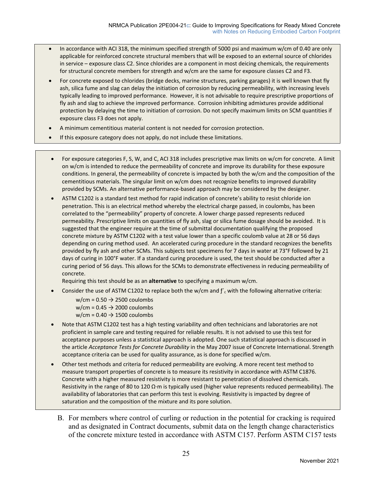- In accordance with ACI 318, the minimum specified strength of 5000 psi and maximum w/cm of 0.40 are only applicable for reinforced concrete structural members that will be exposed to an external source of chlorides in service – exposure class C2. Since chlorides are a component in most deicing chemicals, the requirements for structural concrete members for strength and w/cm are the same for exposure classes C2 and F3.
- For concrete exposed to chlorides (bridge decks, marine structures, parking garages) it is well known that fly ash, silica fume and slag can delay the initiation of corrosion by reducing permeability, with increasing levels typically leading to improved performance. However, it is not advisable to require prescriptive proportions of fly ash and slag to achieve the improved performance. Corrosion inhibiting admixtures provide additional protection by delaying the time to initiation of corrosion. Do not specify maximum limits on SCM quantities if exposure class F3 does not apply.
- A minimum cementitious material content is not needed for corrosion protection.
- If this exposure category does not apply, do not include these limitations.
- For exposure categories F, S, W, and C, ACI 318 includes prescriptive max limits on w/cm for concrete. A limit on w/cm is intended to reduce the permeability of concrete and improve its durability for these exposure conditions. In general, the permeability of concrete is impacted by both the w/cm and the composition of the cementitious materials. The singular limit on w/cm does not recognize benefits to improved durability provided by SCMs. An alternative performance-based approach may be considered by the designer.
- ASTM C1202 is a standard test method for rapid indication of concrete's ability to resist chloride ion penetration. This is an electrical method whereby the electrical charge passed, in coulombs, has been correlated to the "permeability" property of concrete. A lower charge passed represents reduced permeability. Prescriptive limits on quantities of fly ash, slag or silica fume dosage should be avoided. It is suggested that the engineer require at the time of submittal documentation qualifying the proposed concrete mixture by ASTM C1202 with a test value lower than a specific coulomb value at 28 or 56 days depending on curing method used. An accelerated curing procedure in the standard recognizes the benefits provided by fly ash and other SCMs. This subjects test specimens for 7 days in water at 73°F followed by 21 days of curing in 100°F water. If a standard curing procedure is used, the test should be conducted after a curing period of 56 days. This allows for the SCMs to demonstrate effectiveness in reducing permeability of concrete.

Requiring this test should be as an **alternative** to specifying a maximum w/cm.

- Consider the use of ASTM C1202 to replace both the w/cm and  $f'$ c with the following alternative criteria:
	- $w/cm = 0.50 \rightarrow 2500$  coulombs  $w/cm = 0.45 \rightarrow 2000$  coulombs  $w/cm = 0.40 \rightarrow 1500$  coulombs
- Note that ASTM C1202 test has a high testing variability and often technicians and laboratories are not proficient in sample care and testing required for reliable results. It is not advised to use this test for acceptance purposes unless a statistical approach is adopted. One such statistical approach is discussed in the article *Acceptance Tests for Concrete Durability* in the May 2007 issue of Concrete International. Strength acceptance criteria can be used for quality assurance, as is done for specified w/cm.
- Other test methods and criteria for reduced permeability are evolving. A more recent test method to measure transport properties of concrete is to measure its resistivity in accordance with ASTM C1876. Concrete with a higher measured resistivity is more resistant to penetration of dissolved chemicals. Resistivity in the range of 80 to 120 Ω∙m is typically used (higher value represents reduced permeability). The availability of laboratories that can perform this test is evolving. Resistivity is impacted by degree of saturation and the composition of the mixture and its pore solution.
	- B. For members where control of curling or reduction in the potential for cracking is required and as designated in Contract documents, submit data on the length change characteristics of the concrete mixture tested in accordance with ASTM C157. Perform ASTM C157 tests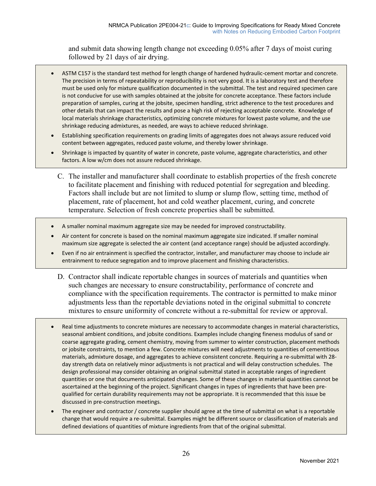and submit data showing length change not exceeding 0.05% after 7 days of moist curing followed by 21 days of air drying.

- ASTM C157 is the standard test method for length change of hardened hydraulic-cement mortar and concrete. The precision in terms of repeatability or reproducibility is not very good. It is a laboratory test and therefore must be used only for mixture qualification documented in the submittal. The test and required specimen care is not conducive for use with samples obtained at the jobsite for concrete acceptance. These factors include preparation of samples, curing at the jobsite, specimen handling, strict adherence to the test procedures and other details that can impact the results and pose a high risk of rejecting acceptable concrete. Knowledge of local materials shrinkage characteristics, optimizing concrete mixtures for lowest paste volume, and the use shrinkage reducing admixtures, as needed, are ways to achieve reduced shrinkage.
- Establishing specification requirements on grading limits of aggregates does not always assure reduced void content between aggregates, reduced paste volume, and thereby lower shrinkage.
- Shrinkage is impacted by quantity of water in concrete, paste volume, aggregate characteristics, and other factors. A low w/cm does not assure reduced shrinkage.
	- C. The installer and manufacturer shall coordinate to establish properties of the fresh concrete to facilitate placement and finishing with reduced potential for segregation and bleeding. Factors shall include but are not limited to slump or slump flow, setting time, method of placement, rate of placement, hot and cold weather placement, curing, and concrete temperature. Selection of fresh concrete properties shall be submitted.
- A smaller nominal maximum aggregate size may be needed for improved constructability.
- Air content for concrete is based on the nominal maximum aggregate size indicated. If smaller nominal maximum size aggregate is selected the air content (and acceptance range) should be adjusted accordingly.
- Even if no air entrainment is specified the contractor, installer, and manufacturer may choose to include air entrainment to reduce segregation and to improve placement and finishing characteristics.
	- D. Contractor shall indicate reportable changes in sources of materials and quantities when such changes are necessary to ensure constructability, performance of concrete and compliance with the specification requirements. The contractor is permitted to make minor adjustments less than the reportable deviations noted in the original submittal to concrete mixtures to ensure uniformity of concrete without a re-submittal for review or approval.
- Real time adjustments to concrete mixtures are necessary to accommodate changes in material characteristics, seasonal ambient conditions, and jobsite conditions. Examples include changing fineness modulus of sand or coarse aggregate grading, cement chemistry, moving from summer to winter construction, placement methods or jobsite constraints, to mention a few. Concrete mixtures will need adjustments to quantities of cementitious materials, admixture dosage, and aggregates to achieve consistent concrete. Requiring a re‐submittal with 28‐ day strength data on relatively minor adjustments is not practical and will delay construction schedules. The design professional may consider obtaining an original submittal stated in acceptable ranges of ingredient quantities or one that documents anticipated changes. Some of these changes in material quantities cannot be ascertained at the beginning of the project. Significant changes in types of ingredients that have been pre‐ qualified for certain durability requirements may not be appropriate. It is recommended that this issue be discussed in pre‐construction meetings.
- The engineer and contractor / concrete supplier should agree at the time of submittal on what is a reportable change that would require a re‐submittal. Examples might be different source or classification of materials and defined deviations of quantities of mixture ingredients from that of the original submittal.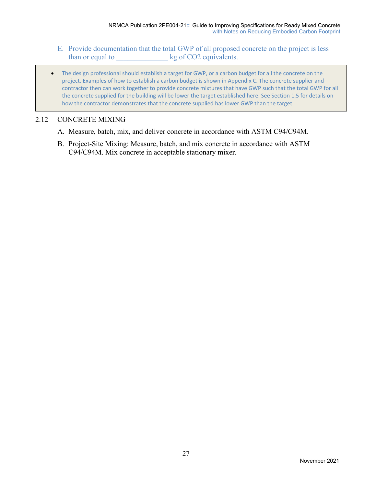- E. Provide documentation that the total GWP of all proposed concrete on the project is less than or equal to  $\log$  of CO2 equivalents.
- The design professional should establish a target for GWP, or a carbon budget for all the concrete on the project. Examples of how to establish a carbon budget is shown in Appendix C. The concrete supplier and contractor then can work together to provide concrete mixtures that have GWP such that the total GWP for all the concrete supplied for the building will be lower the target established here. See Section 1.5 for details on how the contractor demonstrates that the concrete supplied has lower GWP than the target.

#### 2.12 CONCRETE MIXING

- A. Measure, batch, mix, and deliver concrete in accordance with ASTM C94/C94M.
- B. Project-Site Mixing: Measure, batch, and mix concrete in accordance with ASTM C94/C94M. Mix concrete in acceptable stationary mixer.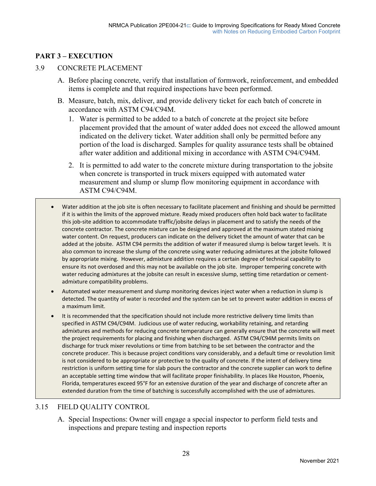# **PART 3 – EXECUTION**

#### 3.9 CONCRETE PLACEMENT

- A. Before placing concrete, verify that installation of formwork, reinforcement, and embedded items is complete and that required inspections have been performed.
- B. Measure, batch, mix, deliver, and provide delivery ticket for each batch of concrete in accordance with ASTM C94/C94M.
	- 1. Water is permitted to be added to a batch of concrete at the project site before placement provided that the amount of water added does not exceed the allowed amount indicated on the delivery ticket. Water addition shall only be permitted before any portion of the load is discharged. Samples for quality assurance tests shall be obtained after water addition and additional mixing in accordance with ASTM C94/C94M.
	- 2. It is permitted to add water to the concrete mixture during transportation to the jobsite when concrete is transported in truck mixers equipped with automated water measurement and slump or slump flow monitoring equipment in accordance with ASTM C94/C94M.
- Water addition at the job site is often necessary to facilitate placement and finishing and should be permitted if it is within the limits of the approved mixture. Ready mixed producers often hold back water to facilitate this job‐site addition to accommodate traffic/jobsite delays in placement and to satisfy the needs of the concrete contractor. The concrete mixture can be designed and approved at the maximum stated mixing water content. On request, producers can indicate on the delivery ticket the amount of water that can be added at the jobsite. ASTM C94 permits the addition of water if measured slump is below target levels. It is also common to increase the slump of the concrete using water reducing admixtures at the jobsite followed by appropriate mixing. However, admixture addition requires a certain degree of technical capability to ensure its not overdosed and this may not be available on the job site. Improper tempering concrete with water reducing admixtures at the jobsite can result in excessive slump, setting time retardation or cementadmixture compatibility problems.
- Automated water measurement and slump monitoring devices inject water when a reduction in slump is detected. The quantity of water is recorded and the system can be set to prevent water addition in excess of a maximum limit.
- It is recommended that the specification should not include more restrictive delivery time limits than specified in ASTM C94/C94M. Judicious use of water reducing, workability retaining, and retarding admixtures and methods for reducing concrete temperature can generally ensure that the concrete will meet the project requirements for placing and finishing when discharged. ASTM C94/C94M permits limits on discharge for truck mixer revolutions or time from batching to be set between the contractor and the concrete producer. This is because project conditions vary considerably, and a default time or revolution limit is not considered to be appropriate or protective to the quality of concrete. If the intent of delivery time restriction is uniform setting time for slab pours the contractor and the concrete supplier can work to define an acceptable setting time window that will facilitate proper finishability. In places like Houston, Phoenix, Florida, temperatures exceed 95°F for an extensive duration of the year and discharge of concrete after an extended duration from the time of batching is successfully accomplished with the use of admixtures.

#### 3.15 FIELD QUALITY CONTROL

A. Special Inspections: Owner will engage a special inspector to perform field tests and inspections and prepare testing and inspection reports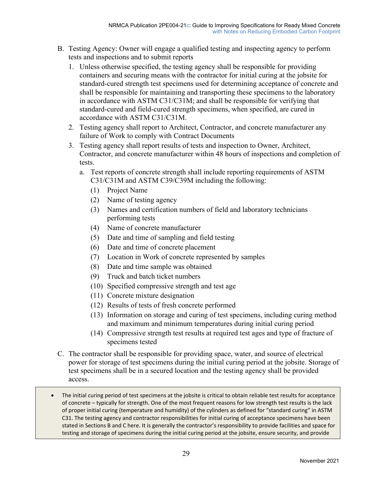- B. Testing Agency: Owner will engage a qualified testing and inspecting agency to perform tests and inspections and to submit reports
	- 1. Unless otherwise specified, the testing agency shall be responsible for providing containers and securing means with the contractor for initial curing at the jobsite for standard-cured strength test specimens used for determining acceptance of concrete and shall be responsible for maintaining and transporting these specimens to the laboratory in accordance with ASTM C31/C31M; and shall be responsible for verifying that standard-cured and field-cured strength specimens, when specified, are cured in accordance with ASTM C31/C31M.
	- 2. Testing agency shall report to Architect, Contractor, and concrete manufacturer any failure of Work to comply with Contract Documents
	- 3. Testing agency shall report results of tests and inspection to Owner, Architect, Contractor, and concrete manufacturer within 48 hours of inspections and completion of tests.
		- a. Test reports of concrete strength shall include reporting requirements of ASTM C31/C31M and ASTM C39/C39M including the following:
			- (1) Project Name
			- (2) Name of testing agency
			- (3) Names and certification numbers of field and laboratory technicians performing tests
			- (4) Name of concrete manufacturer
			- (5) Date and time of sampling and field testing
			- (6) Date and time of concrete placement
			- (7) Location in Work of concrete represented by samples
			- (8) Date and time sample was obtained
			- (9) Truck and batch ticket numbers
			- (10) Specified compressive strength and test age
			- (11) Concrete mixture designation
			- (12) Results of tests of fresh concrete performed
			- (13) Information on storage and curing of test specimens, including curing method and maximum and minimum temperatures during initial curing period
			- (14) Compressive strength test results at required test ages and type of fracture of specimens tested
- C. The contractor shall be responsible for providing space, water, and source of electrical power for storage of test specimens during the initial curing period at the jobsite. Storage of test specimens shall be in a secured location and the testing agency shall be provided access.
- The initial curing period of test specimens at the jobsite is critical to obtain reliable test results for acceptance of concrete – typically for strength. One of the most frequent reasons for low strength test results is the lack of proper initial curing (temperature and humidity) of the cylinders as defined for "standard curing" in ASTM C31. The testing agency and contractor responsibilities for initial curing of acceptance specimens have been stated in Sections B and C here. It is generally the contractor's responsibility to provide facilities and space for testing and storage of specimens during the initial curing period at the jobsite, ensure security, and provide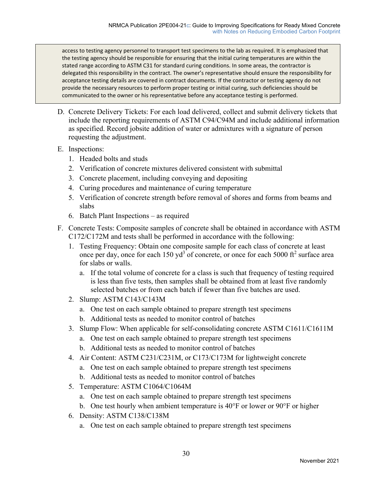access to testing agency personnel to transport test specimens to the lab as required. It is emphasized that the testing agency should be responsible for ensuring that the initial curing temperatures are within the stated range according to ASTM C31 for standard curing conditions. In some areas, the contractor is delegated this responsibility in the contract. The owner's representative should ensure the responsibility for acceptance testing details are covered in contract documents. If the contractor or testing agency do not provide the necessary resources to perform proper testing or initial curing, such deficiencies should be communicated to the owner or his representative before any acceptance testing is performed.

- D. Concrete Delivery Tickets: For each load delivered, collect and submit delivery tickets that include the reporting requirements of ASTM C94/C94M and include additional information as specified. Record jobsite addition of water or admixtures with a signature of person requesting the adjustment.
- E. Inspections:
	- 1. Headed bolts and studs
	- 2. Verification of concrete mixtures delivered consistent with submittal
	- 3. Concrete placement, including conveying and depositing
	- 4. Curing procedures and maintenance of curing temperature
	- 5. Verification of concrete strength before removal of shores and forms from beams and slabs
	- 6. Batch Plant Inspections as required
- F. Concrete Tests: Composite samples of concrete shall be obtained in accordance with ASTM C172/C172M and tests shall be performed in accordance with the following:
	- 1. Testing Frequency: Obtain one composite sample for each class of concrete at least once per day, once for each  $150 \text{ yd}^3$  of concrete, or once for each  $5000 \text{ ft}^2$  surface area for slabs or walls.
		- a. If the total volume of concrete for a class is such that frequency of testing required is less than five tests, then samples shall be obtained from at least five randomly selected batches or from each batch if fewer than five batches are used.
	- 2. Slump: ASTM C143/C143M
		- a. One test on each sample obtained to prepare strength test specimens
		- b. Additional tests as needed to monitor control of batches
	- 3. Slump Flow: When applicable for self-consolidating concrete ASTM C1611/C1611M
		- a. One test on each sample obtained to prepare strength test specimens
		- b. Additional tests as needed to monitor control of batches
	- 4. Air Content: ASTM C231/C231M, or C173/C173M for lightweight concrete
		- a. One test on each sample obtained to prepare strength test specimens
		- b. Additional tests as needed to monitor control of batches
	- 5. Temperature: ASTM C1064/C1064M
		- a. One test on each sample obtained to prepare strength test specimens
		- b. One test hourly when ambient temperature is 40°F or lower or 90°F or higher
	- 6. Density: ASTM C138/C138M
		- a. One test on each sample obtained to prepare strength test specimens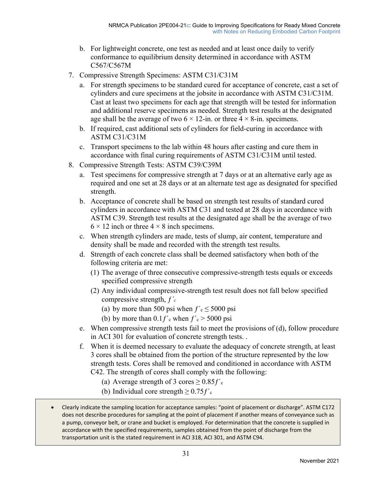- b. For lightweight concrete, one test as needed and at least once daily to verify conformance to equilibrium density determined in accordance with ASTM C567/C567M
- 7. Compressive Strength Specimens: ASTM C31/C31M
	- a. For strength specimens to be standard cured for acceptance of concrete, cast a set of cylinders and cure specimens at the jobsite in accordance with ASTM C31/C31M. Cast at least two specimens for each age that strength will be tested for information and additional reserve specimens as needed. Strength test results at the designated age shall be the average of two  $6 \times 12$ -in. or three  $4 \times 8$ -in. specimens.
	- b. If required, cast additional sets of cylinders for field-curing in accordance with ASTM C31/C31M
	- c. Transport specimens to the lab within 48 hours after casting and cure them in accordance with final curing requirements of ASTM C31/C31M until tested.
- 8. Compressive Strength Tests: ASTM C39/C39M
	- a. Test specimens for compressive strength at 7 days or at an alternative early age as required and one set at 28 days or at an alternate test age as designated for specified strength.
	- b. Acceptance of concrete shall be based on strength test results of standard cured cylinders in accordance with ASTM C31 and tested at 28 days in accordance with ASTM C39. Strength test results at the designated age shall be the average of two  $6 \times 12$  inch or three  $4 \times 8$  inch specimens.
	- c. When strength cylinders are made, tests of slump, air content, temperature and density shall be made and recorded with the strength test results.
	- d. Strength of each concrete class shall be deemed satisfactory when both of the following criteria are met:
		- (1) The average of three consecutive compressive-strength tests equals or exceeds specified compressive strength
		- (2) Any individual compressive-strength test result does not fall below specified compressive strength, *ƒ´c*
			- (a) by more than 500 psi when  $f' = 5000$  psi
			- (b) by more than  $0.1f'$  when  $f'$  > 5000 psi
	- e. When compressive strength tests fail to meet the provisions of (d), follow procedure in ACI 301 for evaluation of concrete strength tests. .
	- f. When it is deemed necessary to evaluate the adequacy of concrete strength, at least 3 cores shall be obtained from the portion of the structure represented by the low strength tests. Cores shall be removed and conditioned in accordance with ASTM C42. The strength of cores shall comply with the following:
		- (a) Average strength of 3 cores  $\geq 0.85 f'$ .
		- (b) Individual core strength  $\geq 0.75 f'$ .
- Clearly indicate the sampling location for acceptance samples: "point of placement or discharge". ASTM C172 does not describe procedures for sampling at the point of placement if another means of conveyance such as a pump, conveyor belt, or crane and bucket is employed. For determination that the concrete is supplied in accordance with the specified requirements, samples obtained from the point of discharge from the transportation unit is the stated requirement in ACI 318, ACI 301, and ASTM C94.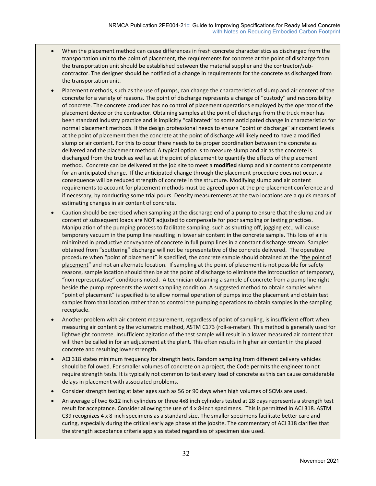- When the placement method can cause differences in fresh concrete characteristics as discharged from the transportation unit to the point of placement, the requirements for concrete at the point of discharge from the transportation unit should be established between the material supplier and the contractor/subcontractor. The designer should be notified of a change in requirements for the concrete as discharged from the transportation unit.
- Placement methods, such as the use of pumps, can change the characteristics of slump and air content of the concrete for a variety of reasons. The point of discharge represents a change of "custody" and responsibility of concrete. The concrete producer has no control of placement operations employed by the operator of the placement device or the contractor. Obtaining samples at the point of discharge from the truck mixer has been standard industry practice and is implicitly "calibrated" to some anticipated change in characteristics for normal placement methods. If the design professional needs to ensure "point of discharge" air content levels at the point of placement then the concrete at the point of discharge will likely need to have a modified slump or air content. For this to occur there needs to be proper coordination between the concrete as delivered and the placement method. A typical option is to measure slump and air as the concrete is discharged from the truck as well as at the point of placement to quantify the effects of the placement method. Concrete can be delivered at the job site to meet a **modified** slump and air content to compensate for an anticipated change. If the anticipated change through the placement procedure does not occur, a consequence will be reduced strength of concrete in the structure. Modifying slump and air content requirements to account for placement methods must be agreed upon at the pre‐placement conference and if necessary, by conducting some trial pours. Density measurements at the two locations are a quick means of estimating changes in air content of concrete.
- Caution should be exercised when sampling at the discharge end of a pump to ensure that the slump and air content of subsequent loads are NOT adjusted to compensate for poor sampling or testing practices. Manipulation of the pumping process to facilitate sampling, such as shutting off, jogging etc., will cause temporary vacuum in the pump line resulting in lower air content in the concrete sample. This loss of air is minimized in productive conveyance of concrete in full pump lines in a constant discharge stream. Samples obtained from "sputtering" discharge will not be representative of the concrete delivered. The operative procedure when "point of placement" is specified, the concrete sample should obtained at the "the point of placement" and not an alternate location. If sampling at the point of placement is not possible for safety reasons, sample location should then be at the point of discharge to eliminate the introduction of temporary, "non representative" conditions noted. A technician obtaining a sample of concrete from a pump line right beside the pump represents the worst sampling condition. A suggested method to obtain samples when "point of placement" is specified is to allow normal operation of pumps into the placement and obtain test samples from that location rather than to control the pumping operations to obtain samples in the sampling receptacle.
- Another problem with air content measurement, regardless of point of sampling, is insufficient effort when measuring air content by the volumetric method, ASTM C173 (roll‐a‐meter). This method is generally used for lightweight concrete. Insufficient agitation of the test sample will result in a lower measured air content that will then be called in for an adjustment at the plant. This often results in higher air content in the placed concrete and resulting lower strength.
- ACI 318 states minimum frequency for strength tests. Random sampling from different delivery vehicles should be followed. For smaller volumes of concrete on a project, the Code permits the engineer to not require strength tests. It is typically not common to test every load of concrete as this can cause considerable delays in placement with associated problems.
- Consider strength testing at later ages such as 56 or 90 days when high volumes of SCMs are used.
- An average of two 6x12 inch cylinders or three 4x8 inch cylinders tested at 28 days represents a strength test result for acceptance. Consider allowing the use of 4 x 8-inch specimens. This is permitted in ACI 318. ASTM C39 recognizes 4 x 8‐inch specimens as a standard size. The smaller specimens facilitate better care and curing, especially during the critical early age phase at the jobsite. The commentary of ACI 318 clarifies that the strength acceptance criteria apply as stated regardless of specimen size used.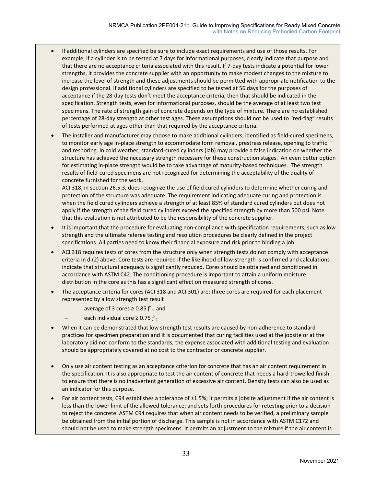- If additional cylinders are specified be sure to include exact requirements and use of those results. For example, if a cylinder is to be tested at 7 days for informational purposes, clearly indicate that purpose and that there are no acceptance criteria associated with this result. If 7‐day tests indicate a potential for lower strengths, it provides the concrete supplier with an opportunity to make modest changes to the mixture to increase the level of strength and these adjustments should be permitted with appropriate notification to the design professional. If additional cylinders are specified to be tested at 56 days for the purposes of acceptance if the 28‐day tests don't meet the acceptance criteria, then that should be indicated in the specification. Strength tests, even for informational purposes, should be the average of at least two test specimens. The rate of strength gain of concrete depends on the type of mixture. There are no established percentage of 28‐day strength at other test ages. These assumptions should not be used to "red‐flag" results of tests performed at ages other than that required by the acceptance criteria.
- The installer and manufacturer may choose to make additional cylinders, identified as field‐cured specimens, to monitor early age in‐place strength to accommodate form removal, prestress release, opening to traffic and reshoring. In cold weather, standard-cured cylinders (lab) may provide a false indication on whether the structure has achieved the necessary strength necessary for these construction stages. An even better option for estimating in-place strength would be to take advantage of maturity-based techniques. The strength results of field-cured specimens are not recognized for determining the acceptability of the quality of concrete furnished for the work.

ACI 318, in section 26.5.3, does recognize the use of field cured cylinders to determine whether curing and protection of the structure was adequate. The requirement indicating adequate curing and protection is when the field cured cylinders achieve a strength of at least 85% of standard cured cylinders but does not apply if the strength of the field cured cylinders exceed the specified strength by more than 500 psi. Note that this evaluation is not attributed to be the responsibility of the concrete supplier.

- It is important that the procedure for evaluating non‐compliance with specification requirements, such as low strength and the ultimate referee testing and resolution procedures be clearly defined in the project specifications. All parties need to know their financial exposure and risk prior to bidding a job.
- ACI 318 requires tests of cores from the structure only when strength tests do not comply with acceptance criteria in d.(2) above. Core tests are required if the likelihood of low‐strength is confirmed and calculations indicate that structural adequacy is significantly reduced. Cores should be obtained and conditioned in accordance with ASTM C42. The conditioning procedure is important to attain a uniform moisture distribution in the core as this has a significant effect on measured strength of cores.
- The acceptance criteria for cores (ACI 318 and ACI 301) are: three cores are required for each placement represented by a low strength test result
	- average of 3 cores  $\geq$  0.85  $f<sub>c</sub>$ , and
	- each individual core  $\geq$  0.75  $f_c$
- When it can be demonstrated that low strength test results are caused by non-adherence to standard practices for specimen preparation and it is documented that curing facilities used at the jobsite or at the laboratory did not conform to the standards, the expense associated with additional testing and evaluation should be appropriately covered at no cost to the contractor or concrete supplier.
- Only use air content testing as an acceptance criterion for concrete that has an air content requirement in the specification. It is also appropriate to test the air content of concrete that needs a hard-trowelled finish to ensure that there is no inadvertent generation of excessive air content. Density tests can also be used as an indicator for this purpose.
- For air content tests, C94 establishes a tolerance of ±1.5%; it permits a jobsite adjustment if the air content is less than the lower limit of the allowed tolerance; and sets forth procedures for retesting prior to a decision to reject the concrete. ASTM C94 requires that when air content needs to be verified, a preliminary sample be obtained from the initial portion of discharge. This sample is not in accordance with ASTM C172 and should not be used to make strength specimens. It permits an adjustment to the mixture if the air content is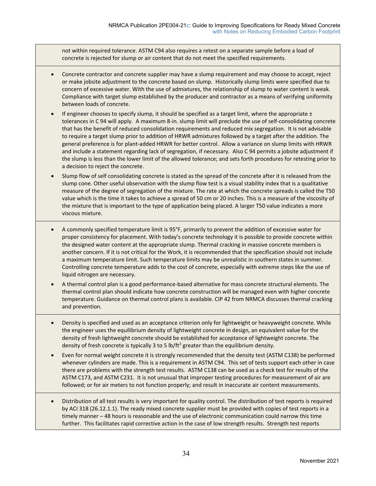not within required tolerance. ASTM C94 also requires a retest on a separate sample before a load of concrete is rejected for slump or air content that do not meet the specified requirements.

- Concrete contractor and concrete supplier may have a slump requirement and may choose to accept, reject or make jobsite adjustment to the concrete based on slump. Historically slump limits were specified due to concern of excessive water. With the use of admixtures, the relationship of slump to water content is weak. Compliance with target slump established by the producer and contractor as a means of verifying uniformity between loads of concrete.
- If engineer chooses to specify slump, it should be specified as a target limit, where the appropriate  $\pm$ tolerances in C 94 will apply. A maximum 8‐in. slump limit will preclude the use of self‐consolidating concrete that has the benefit of reduced consolidation requirements and reduced mix segregation. It is not advisable to require a target slump prior to addition of HRWR admixtures followed by a target after the addition. The general preference is for plant‐added HRWR for better control. Allow a variance on slump limits with HRWR and include a statement regarding lack of segregation, if necessary. Also C 94 permits a jobsite adjustment if the slump is less than the lower limit of the allowed tolerance; and sets forth procedures for retesting prior to a decision to reject the concrete.
- Slump flow of self consolidating concrete is stated as the spread of the concrete after it is released from the slump cone. Other useful observation with the slump flow test is a visual stability index that is a qualitative measure of the degree of segregation of the mixture. The rate at which the concrete spreads is called the T50 value which is the time it takes to achieve a spread of 50 cm or 20 inches. This is a measure of the viscosity of the mixture that is important to the type of application being placed. A larger T50 value indicates a more viscous mixture.
- A commonly specified temperature limit is 95°F, primarily to prevent the addition of excessive water for proper consistency for placement. With today's concrete technology it is possible to provide concrete within the designed water content at the appropriate slump. Thermal cracking in massive concrete members is another concern. If it is not critical for the Work, it is recommended that the specification should not include a maximum temperature limit. Such temperature limits may be unrealistic in southern states in summer. Controlling concrete temperature adds to the cost of concrete, especially with extreme steps like the use of liquid nitrogen are necessary.
- A thermal control plan is a good performance‐based alternative for mass concrete structural elements. The thermal control plan should indicate how concrete construction will be managed even with higher concrete temperature. Guidance on thermal control plans is available. CIP 42 from NRMCA discusses thermal cracking and prevention.
- Density is specified and used as an acceptance criterion only for lightweight or heavyweight concrete. While the engineer uses the equilibrium density of lightweight concrete in design, an equivalent value for the density of fresh lightweight concrete should be established for acceptance of lightweight concrete. The density of fresh concrete is typically 3 to 5 lb/ft<sup>3</sup> greater than the equilibrium density.
- Even for normal weight concrete it is strongly recommended that the density test (ASTM C138) be performed whenever cylinders are made. This is a requirement in ASTM C94. This set of tests support each other in case there are problems with the strength test results. ASTM C138 can be used as a check test for results of the ASTM C173, and ASTM C231. It is not unusual that improper testing procedures for measurement of air are followed; or for air meters to not function properly; and result in inaccurate air content measurements.
- Distribution of all test results is very important for quality control. The distribution of test reports is required by ACI 318 (26.12.1.1). The ready mixed concrete supplier must be provided with copies of test reports in a timely manner – 48 hours is reasonable and the use of electronic communication could narrow this time further. This facilitates rapid corrective action in the case of low strength results. Strength test reports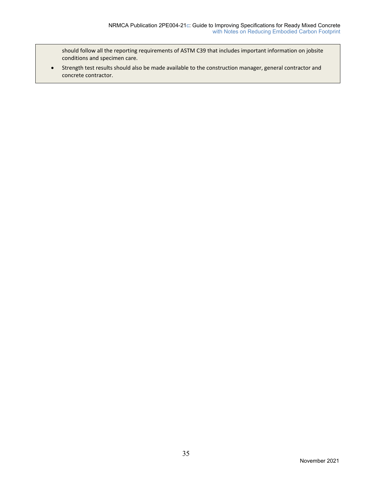should follow all the reporting requirements of ASTM C39 that includes important information on jobsite conditions and specimen care.

 Strength test results should also be made available to the construction manager, general contractor and concrete contractor.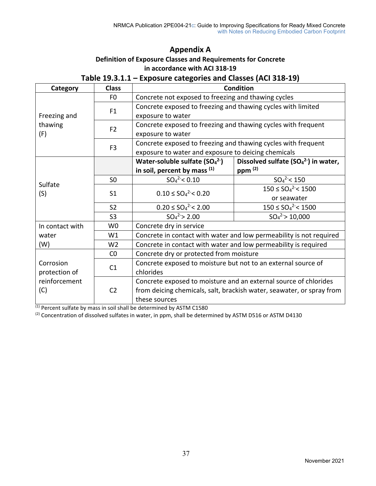# **Appendix A Definition of Exposure Classes and Requirements for Concrete in accordance with ACI 318‐19**

# **Table 19.3.1.1 – Exposure categories and Classes (ACI 318‐19)**

| Category                   | <b>Class</b>   | <b>Condition</b>                                                                                                                                           |                                                               |  |  |  |  |
|----------------------------|----------------|------------------------------------------------------------------------------------------------------------------------------------------------------------|---------------------------------------------------------------|--|--|--|--|
|                            | FO.            |                                                                                                                                                            | Concrete not exposed to freezing and thawing cycles           |  |  |  |  |
| Freezing and               | F1             | Concrete exposed to freezing and thawing cycles with limited<br>exposure to water                                                                          |                                                               |  |  |  |  |
| thawing<br>(F)             | F <sub>2</sub> | exposure to water                                                                                                                                          | Concrete exposed to freezing and thawing cycles with frequent |  |  |  |  |
|                            | F <sub>3</sub> | Concrete exposed to freezing and thawing cycles with frequent<br>exposure to water and exposure to deicing chemicals                                       |                                                               |  |  |  |  |
|                            |                | Water-soluble sulfate $(SO42)$                                                                                                                             | Dissolved sulfate $(SO42)$ in water,                          |  |  |  |  |
|                            |                | in soil, percent by mass (1)                                                                                                                               | ppm $(2)$                                                     |  |  |  |  |
|                            | S <sub>0</sub> | $SO_4^2$ < 0.10                                                                                                                                            | $SO_4^2$ < 150                                                |  |  |  |  |
| Sulfate                    | S <sub>1</sub> | $0.10 \leq SO_4^2 < 0.20$                                                                                                                                  | $150 \leq SO_4^2 < 1500$                                      |  |  |  |  |
| (S)                        |                |                                                                                                                                                            | or seawater                                                   |  |  |  |  |
|                            | S <sub>2</sub> | $0.20 \leq SO_4^2 < 2.00$                                                                                                                                  | $150 \leq SO_4{}^{2}$ < 1500                                  |  |  |  |  |
|                            | S <sub>3</sub> | $SO_4^2 > 2.00$                                                                                                                                            | $SO_4^2$ > 10,000                                             |  |  |  |  |
| In contact with            | W <sub>0</sub> | Concrete dry in service                                                                                                                                    |                                                               |  |  |  |  |
| water                      | W1             | Concrete in contact with water and low permeability is not required                                                                                        |                                                               |  |  |  |  |
| (W)                        | W <sub>2</sub> | Concrete in contact with water and low permeability is required                                                                                            |                                                               |  |  |  |  |
|                            | CO             | Concrete dry or protected from moisture                                                                                                                    |                                                               |  |  |  |  |
| Corrosion<br>protection of | C1             | Concrete exposed to moisture but not to an external source of<br>chlorides                                                                                 |                                                               |  |  |  |  |
| reinforcement<br>(C)       | C <sub>2</sub> | Concrete exposed to moisture and an external source of chlorides<br>from deicing chemicals, salt, brackish water, seawater, or spray from<br>these sources |                                                               |  |  |  |  |

 $\overline{^{(1)}}$  Percent sulfate by mass in soil shall be determined by ASTM C1580

(2) Concentration of dissolved sulfates in water, in ppm, shall be determined by ASTM D516 or ASTM D4130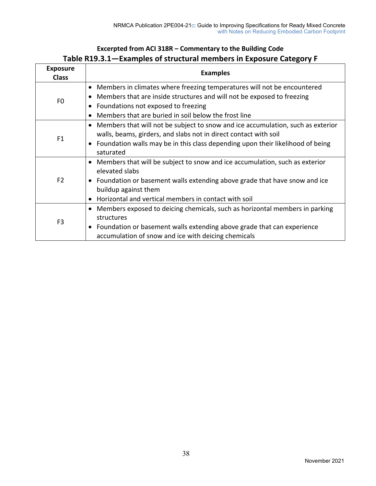# **Excerpted from ACI 318R – Commentary to the Building Code Table R19.3.1—Examples of structural members in Exposure Category F**

| <b>Exposure</b><br><b>Class</b> | <b>Examples</b>                                                                              |
|---------------------------------|----------------------------------------------------------------------------------------------|
|                                 | • Members in climates where freezing temperatures will not be encountered                    |
| F0                              | Members that are inside structures and will not be exposed to freezing                       |
|                                 | • Foundations not exposed to freezing                                                        |
|                                 | Members that are buried in soil below the frost line                                         |
|                                 | Members that will not be subject to snow and ice accumulation, such as exterior<br>$\bullet$ |
| F <sub>1</sub>                  | walls, beams, girders, and slabs not in direct contact with soil                             |
|                                 | • Foundation walls may be in this class depending upon their likelihood of being             |
|                                 | saturated                                                                                    |
|                                 | • Members that will be subject to snow and ice accumulation, such as exterior                |
|                                 | elevated slabs                                                                               |
| F <sub>2</sub>                  | • Foundation or basement walls extending above grade that have snow and ice                  |
|                                 | buildup against them                                                                         |
|                                 | Horizontal and vertical members in contact with soil                                         |
|                                 | Members exposed to deicing chemicals, such as horizontal members in parking<br>$\bullet$     |
| F <sub>3</sub>                  | structures                                                                                   |
|                                 | Foundation or basement walls extending above grade that can experience                       |
|                                 | accumulation of snow and ice with deicing chemicals                                          |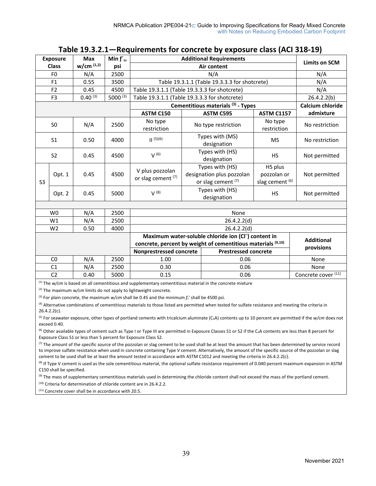|                | <b>Exposure</b> | <b>Max</b>     | Min $f'_c$ ,                   | <b>Additional Requirements</b>                                                                                              | <b>Limits on SCM</b>                                                                  |                                                                               |                                                      |                                |  |
|----------------|-----------------|----------------|--------------------------------|-----------------------------------------------------------------------------------------------------------------------------|---------------------------------------------------------------------------------------|-------------------------------------------------------------------------------|------------------------------------------------------|--------------------------------|--|
|                | <b>Class</b>    | $w/cm^{(1,2)}$ | psi                            |                                                                                                                             | Air content                                                                           |                                                                               |                                                      |                                |  |
|                | F <sub>0</sub>  | N/A            | 2500                           | N/A                                                                                                                         |                                                                                       |                                                                               |                                                      | N/A                            |  |
|                | F <sub>1</sub>  | 0.55           | 3500                           |                                                                                                                             |                                                                                       | Table 19.3.1.1 (Table 19.3.3.3 for shotcrete)                                 |                                                      | N/A                            |  |
|                | F <sub>2</sub>  | 0.45           | 4500                           | Table 19.3.1.1 (Table 19.3.3.3 for shotcrete)                                                                               |                                                                                       |                                                                               |                                                      | N/A                            |  |
|                | F <sub>3</sub>  | $0.40^{(3)}$   | 5000 $(3)$                     | Table 19.3.1.1 (Table 19.3.3.3 for shotcrete)                                                                               |                                                                                       |                                                                               |                                                      | 26.4.2.2(b)                    |  |
|                |                 |                |                                |                                                                                                                             |                                                                                       | Cementitious materials <sup>(3)</sup> - Types                                 |                                                      | Calcium chloride               |  |
|                |                 |                |                                | ASTM C150                                                                                                                   |                                                                                       | <b>ASTM C595</b>                                                              | <b>ASTM C1157</b>                                    | admixture                      |  |
|                | S <sub>0</sub>  | N/A            | 2500                           | No type<br>restriction                                                                                                      |                                                                                       | No type restriction                                                           | No type<br>restriction                               | No restriction                 |  |
|                | S <sub>1</sub>  | 0.50           | 4000                           | (5)(6)                                                                                                                      |                                                                                       | Types with (MS)<br>designation                                                | <b>MS</b>                                            | No restriction                 |  |
| S <sub>2</sub> |                 | 0.45           | 4500                           | V(6)                                                                                                                        | Types with (HS)<br><b>HS</b><br>designation                                           |                                                                               | Not permitted                                        |                                |  |
| S <sub>3</sub> | Opt. 1          | 0.45           | 4500                           | V plus pozzolan<br>or slag cement (7)                                                                                       |                                                                                       | Types with (HS)<br>designation plus pozzolan<br>or slag cement <sup>(7)</sup> | HS plus<br>pozzolan or<br>slag cement <sup>(6)</sup> | Not permitted                  |  |
|                | Opt. 2          | 0.45           | 5000                           | $V^{(8)}$                                                                                                                   |                                                                                       | Types with (HS)<br>designation                                                | <b>HS</b>                                            | Not permitted                  |  |
|                |                 |                |                                |                                                                                                                             |                                                                                       |                                                                               |                                                      |                                |  |
|                | W <sub>0</sub>  | N/A            | 2500                           |                                                                                                                             |                                                                                       | None                                                                          |                                                      |                                |  |
|                | W1              | N/A            | 2500                           |                                                                                                                             |                                                                                       | 26.4.2.2(d)                                                                   |                                                      |                                |  |
|                | W <sub>2</sub>  | 0.50           | 4000                           |                                                                                                                             |                                                                                       | 26.4.2.2(d)                                                                   |                                                      |                                |  |
|                |                 |                |                                |                                                                                                                             | Maximum water-soluble chloride ion (Cl <sup>-</sup> ) content in<br><b>Additional</b> |                                                                               |                                                      |                                |  |
|                |                 |                |                                | concrete, percent by weight of cementitious materials (9,10)                                                                |                                                                                       |                                                                               |                                                      | provisions                     |  |
|                |                 |                | <b>Nonprestressed concrete</b> |                                                                                                                             |                                                                                       | <b>Prestressed concrete</b>                                                   |                                                      |                                |  |
|                | C <sub>0</sub>  | N/A            | 2500                           | 1.00                                                                                                                        |                                                                                       | 0.06                                                                          |                                                      | None                           |  |
|                | C1              |                | 2500                           | 0.30                                                                                                                        |                                                                                       | 0.06                                                                          |                                                      | None                           |  |
|                | C <sub>2</sub>  | 0.40           | 5000                           | 0.15                                                                                                                        |                                                                                       | 0.06                                                                          |                                                      |                                |  |
|                |                 | N/A            |                                | $\frac{1}{1}$ The <i>urlam</i> is becad an all compatitions and supplementary compatitions material in the concrete minture |                                                                                       |                                                                               |                                                      | Concrete cover <sup>(11)</sup> |  |

# **Table 19.3.2.1—Requirements for concrete by exposure class (ACI 318‐19)**

The *w/cm* is based on all cementitious and supplementary cementitious material in the concrete mixture

(2) The maximum *w/cm* limits do not apply to lightweight concrete.

(3) For plain concrete, the maximum *w/cm* shall be 0.45 and the minimum *fc*′ shall be 4500 psi.

<sup>(4)</sup> Alternative combinations of cementitious materials to those listed are permitted when tested for sulfate resistance and meeting the criteria in 26.4.2.2(c).

(5) For seawater exposure, other types of portland cements with tricalcium aluminate (C3A) contents up to 10 percent are permitted if the *w/cm* does not exceed 0.40.

<sup>(6)</sup> Other available types of cement such as Type I or Type III are permitted in Exposure Classes S1 or S2 if the C<sub>3</sub>A contents are less than 8 percent for Exposure Class S1 or less than 5 percent for Exposure Class S2.

 $(7)$  The amount of the specific source of the pozzolan or slag cement to be used shall be at least the amount that has been determined by service record to improve sulfate resistance when used in concrete containing Type V cement. Alternatively, the amount of the specific source of the pozzolan or slag cement to be used shall be at least the amount tested in accordance with ASTM C1012 and meeting the criteria in 26.4.2.2(c).

<sup>(8)</sup> If Type V cement is used as the sole cementitious material, the optional sulfate resistance requirement of 0.040 percent maximum expansion in ASTM C150 shall be specified.

<sup>(9)</sup> The mass of supplementary cementitious materials used in determining the chloride content shall not exceed the mass of the portland cement.

(10) Criteria for determination of chloride content are in 26.4.2.2.

(11) Concrete cover shall be in accordance with 20.5.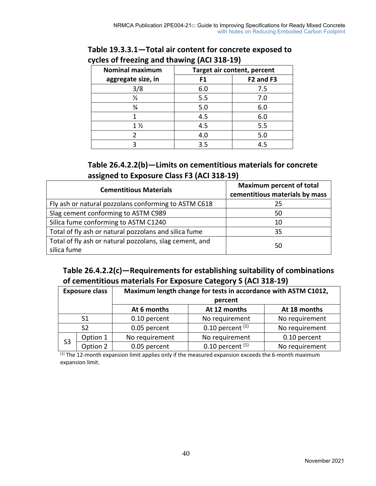| <b>Nominal maximum</b> | <b>Target air content, percent</b> |                                   |  |
|------------------------|------------------------------------|-----------------------------------|--|
| aggregate size, in     | F1                                 | F <sub>2</sub> and F <sub>3</sub> |  |
| 3/8                    | 6.0                                | 7.5                               |  |
| $\frac{1}{2}$          | 5.5                                | 7.0                               |  |
| $\frac{3}{4}$          | 5.0                                | 6.0                               |  |
|                        | 4.5                                | 6.0                               |  |
| $1\frac{1}{2}$         | 4.5                                | 5.5                               |  |
|                        | 4.0                                | 5.0                               |  |
|                        | 3.5                                | 4.5                               |  |

**Table 19.3.3.1—Total air content for concrete exposed to cycles of freezing and thawing (ACI 318‐19)**

# **Table 26.4.2.2(b)—Limits on cementitious materials for concrete assigned to Exposure Class F3 (ACI 318‐19)**

| <b>Cementitious Materials</b>                                          | <b>Maximum percent of total</b><br>cementitious materials by mass |
|------------------------------------------------------------------------|-------------------------------------------------------------------|
| Fly ash or natural pozzolans conforming to ASTM C618                   | 25                                                                |
| Slag cement conforming to ASTM C989                                    | 50                                                                |
| Silica fume conforming to ASTM C1240                                   | 10                                                                |
| Total of fly ash or natural pozzolans and silica fume                  | 35                                                                |
| Total of fly ash or natural pozzolans, slag cement, and<br>silica fume | 50                                                                |

# **Table 26.4.2.2(c)—Requirements for establishing suitability of combinations of cementitious materials For Exposure Category S (ACI 318‐19)**

| <b>Exposure class</b> |                                             | Maximum length change for tests in accordance with ASTM C1012, |                    |                |  |  |  |  |
|-----------------------|---------------------------------------------|----------------------------------------------------------------|--------------------|----------------|--|--|--|--|
|                       |                                             | percent                                                        |                    |                |  |  |  |  |
|                       | At 12 months<br>At 6 months<br>At 18 months |                                                                |                    |                |  |  |  |  |
| S1                    |                                             | 0.10 percent                                                   | No requirement     | No requirement |  |  |  |  |
| S <sub>2</sub>        |                                             | 0.05 percent                                                   | 0.10 percent $(1)$ | No requirement |  |  |  |  |
| S <sub>3</sub>        | Option 1                                    | No requirement                                                 | No requirement     | 0.10 percent   |  |  |  |  |
|                       | Option 2                                    | 0.05 percent                                                   | 0.10 percent $(1)$ | No requirement |  |  |  |  |

(1) The 12-month expansion limit applies only if the measured expansion exceeds the 6-month maximum expansion limit.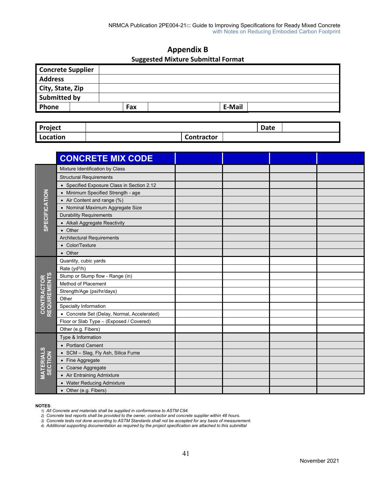# **Appendix B Suggested Mixture Submittal Format**

| <b>Concrete Supplier</b> |     |  |        |  |
|--------------------------|-----|--|--------|--|
| <b>Address</b>           |     |  |        |  |
| City, State, Zip         |     |  |        |  |
| Submitted by             |     |  |        |  |
| Phone                    | Fax |  | E-Mail |  |

| Project  |                   | <b>Date</b> |  |
|----------|-------------------|-------------|--|
| Location | <b>Contractor</b> |             |  |

|                                    | <b>CONCRETE MIX CODE</b>                    |  |  |
|------------------------------------|---------------------------------------------|--|--|
|                                    | Mixture Identification by Class             |  |  |
|                                    | <b>Structural Requirements</b>              |  |  |
|                                    | • Specified Exposure Class in Section 2.12  |  |  |
|                                    | • Minimum Specified Strength - age          |  |  |
| <b>SPECIFICATION</b>               | • Air Content and range (%)                 |  |  |
|                                    | • Nominal Maximum Aggregate Size            |  |  |
|                                    | <b>Durability Requirements</b>              |  |  |
|                                    | • Alkali Aggregate Reactivity               |  |  |
|                                    | • Other                                     |  |  |
|                                    | <b>Architectural Requirements</b>           |  |  |
|                                    | • Color/Texture                             |  |  |
|                                    | • Other                                     |  |  |
|                                    | Quantity, cubic yards                       |  |  |
|                                    | Rate (yd <sup>3</sup> /h)                   |  |  |
| <b>CONTRACTOR<br/>REQUIREMENTS</b> | Slump or Slump flow - Range (in)            |  |  |
|                                    | Method of Placement                         |  |  |
|                                    | Strength/Age (psi/hr/days)                  |  |  |
|                                    | Other                                       |  |  |
|                                    | Specialty Information                       |  |  |
|                                    | • Concrete Set (Delay, Normal, Accelerated) |  |  |
|                                    | Floor or Slab Type - (Exposed / Covered)    |  |  |
|                                    | Other (e.g. Fibers)                         |  |  |
|                                    | Type & Information                          |  |  |
|                                    | • Portland Cement                           |  |  |
|                                    | • SCM - Slag, Fly Ash, Silica Fume          |  |  |
| <b>MATERIALS<br/>SECTION</b>       | • Fine Aggregate                            |  |  |
|                                    | • Coarse Aggregate                          |  |  |
|                                    | • Air Entraining Admixture                  |  |  |
|                                    | • Water Reducing Admixture                  |  |  |
|                                    | • Other (e.g. Fibers)                       |  |  |

#### **NOTES**:

*1) All Concrete and materials shall be supplied in conformance to ASTM C94.* 

*2) Concrete test reports shall be provided to the owner, contractor and concrete supplier within 48 hours.* 

*3) Concrete tests not done according to ASTM Standards shall not be accepted for any basis of measurement.* 

*4) Additional supporting documentation as required by the project specification are attached to this submittal*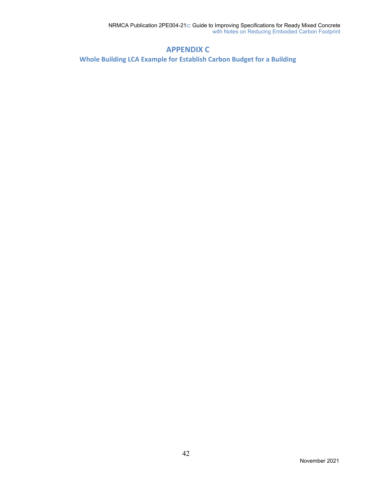# **APPENDIX C**

**Whole Building LCA Example for Establish Carbon Budget for a Building**